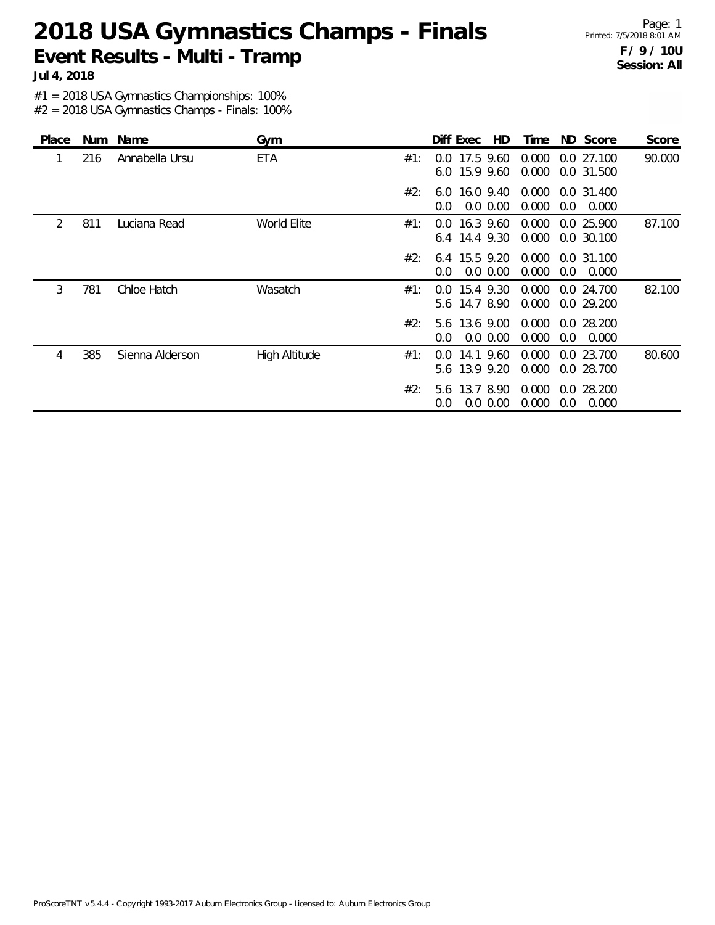Page: 1 Printed: 7/5/2018 8:01 AM **F / 9 / 10U Session: All**

**Jul 4, 2018**

#1 = 2018 USA Gymnastics Championships: 100%

| Place | Num | Name            | Gym           |     | Diff Exec<br>HD.                              | Time           | ND Score                   | Score  |
|-------|-----|-----------------|---------------|-----|-----------------------------------------------|----------------|----------------------------|--------|
|       | 216 | Annabella Ursu  | ETA           | #1: | 17.5 9.60<br>$0.0^{\circ}$<br>6.0 15.9 9.60   | 0.000<br>0.000 | 0.027.100<br>0.0 31.500    | 90.000 |
|       |     |                 |               | #2: | 16.0 9.40<br>6.0<br>0.0 0.00<br>0.0           | 0.000<br>0.000 | 0.0 31.400<br>0.0<br>0.000 |        |
| 2     | 811 | Luciana Read    | World Elite   | #1: | 16.3 9.60<br>$0.0^{\circ}$<br>6.4 14.4 9.30   | 0.000<br>0.000 | 0.0 25.900<br>0.0 30.100   | 87.100 |
|       |     |                 |               | #2: | 6.4 15.5 9.20<br>$0.0\,0.00$<br>$0.0^{\circ}$ | 0.000<br>0.000 | 0.0 31.100<br>0.0<br>0.000 |        |
| 3     | 781 | Chloe Hatch     | Wasatch       | #1: | 15.4 9.30<br>0.0<br>14.7 8.90<br>5.6          | 0.000<br>0.000 | 0.0 24.700<br>0.029.200    | 82.100 |
|       |     |                 |               | #2: | 5.6 13.6 9.00<br>$0.0\,0.00$<br>0.0           | 0.000<br>0.000 | 0.0 28.200<br>0.000<br>0.0 |        |
| 4     | 385 | Sienna Alderson | High Altitude | #1: | 14.1 9.60<br>$0.0^{\circ}$<br>5.6 13.9 9.20   | 0.000<br>0.000 | 0.0 23.700<br>0.0 28.700   | 80.600 |
|       |     |                 |               | #2: | 13.7 8.90<br>5.6<br>0.0 0.00<br>0.0           | 0.000<br>0.000 | 0.0 28.200<br>0.000<br>0.0 |        |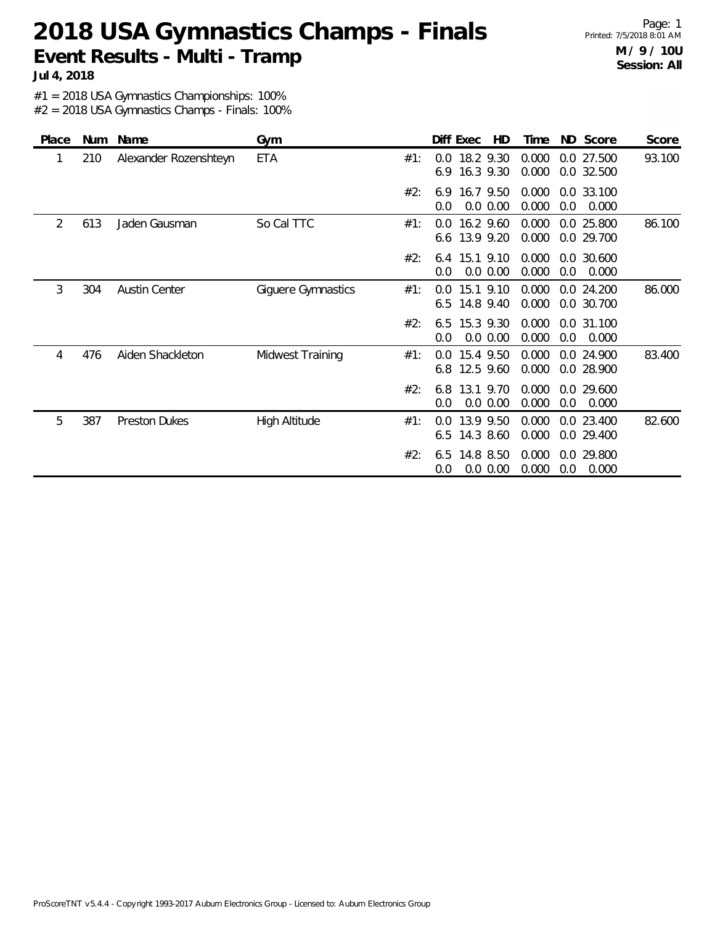Page: 1 Printed: 7/5/2018 8:01 AM **M / 9 / 10U Session: All**

**Jul 4, 2018**

#1 = 2018 USA Gymnastics Championships: 100%

| Place | Num | Name                  | Gym                |     | HD<br>Diff Exec                      | Time           | ND Score                   | Score  |
|-------|-----|-----------------------|--------------------|-----|--------------------------------------|----------------|----------------------------|--------|
|       | 210 | Alexander Rozenshteyn | <b>ETA</b>         | #1: | 18.2 9.30<br>0.0<br>6.9<br>16.3 9.30 | 0.000<br>0.000 | 0.0 27.500<br>0.0 32.500   | 93.100 |
|       |     |                       |                    | #2: | 16.7 9.50<br>6.9<br>0.0 0.00<br>0.0  | 0.000<br>0.000 | 0.0 33.100<br>0.0<br>0.000 |        |
| 2     | 613 | Jaden Gausman         | So Cal TTC         | #1: | 16.2 9.60<br>0.0<br>6.6 13.9 9.20    | 0.000<br>0.000 | 0.0 25.800<br>0.0 29.700   | 86.100 |
|       |     |                       |                    | #2: | 15.1 9.10<br>6.4<br>0.0 0.00<br>0.0  | 0.000<br>0.000 | 0.0 30.600<br>0.0<br>0.000 |        |
| 3     | 304 | <b>Austin Center</b>  | Giguere Gymnastics | #1: | 15.1 9.10<br>0.0<br>14.8 9.40<br>6.5 | 0.000<br>0.000 | 0.0 24.200<br>0.0 30.700   | 86.000 |
|       |     |                       |                    | #2: | 15.3 9.30<br>6.5<br>0.0 0.00<br>0.0  | 0.000<br>0.000 | 0.0 31.100<br>0.0<br>0.000 |        |
| 4     | 476 | Aiden Shackleton      | Midwest Training   | #1: | 15.4 9.50<br>0.0<br>12.5 9.60<br>6.8 | 0.000<br>0.000 | 0.0 24.900<br>0.0 28.900   | 83.400 |
|       |     |                       |                    | #2: | 13.1 9.70<br>6.8<br>0.0 0.00<br>0.0  | 0.000<br>0.000 | 0.0 29.600<br>0.0<br>0.000 |        |
| 5     | 387 | <b>Preston Dukes</b>  | High Altitude      | #1: | 13.9 9.50<br>0.0<br>14.3 8.60<br>6.5 | 0.000<br>0.000 | 0.0 23.400<br>0.0 29.400   | 82.600 |
|       |     |                       |                    | #2: | 14.8 8.50<br>6.5<br>0.0 0.00<br>0.0  | 0.000<br>0.000 | 0.0 29.800<br>0.0<br>0.000 |        |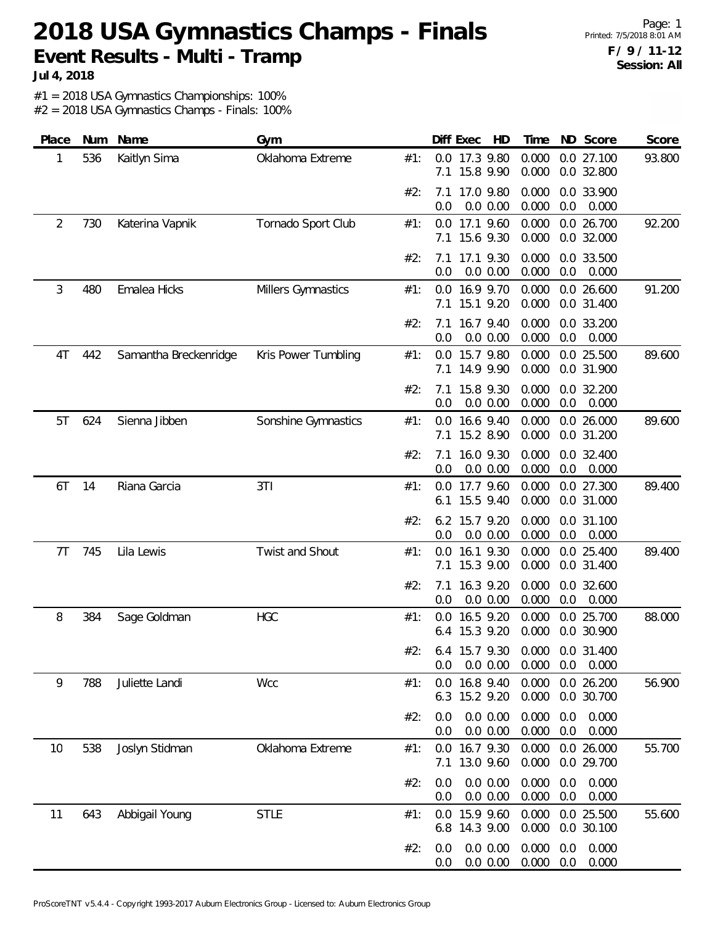Page: 1 Printed: 7/5/2018 8:01 AM **F / 9 / 11-12 Session: All**

**Jul 4, 2018**

#1 = 2018 USA Gymnastics Championships: 100%

| Place          | Num | Name                  | Gym                 |     |            | Diff Exec<br>HD            | Time           |            | ND Score                  | Score  |
|----------------|-----|-----------------------|---------------------|-----|------------|----------------------------|----------------|------------|---------------------------|--------|
| 1              | 536 | Kaitlyn Sima          | Oklahoma Extreme    | #1: | 7.1        | 0.0 17.3 9.80<br>15.8 9.90 | 0.000<br>0.000 |            | 0.0 27.100<br>0.0 32.800  | 93.800 |
|                |     |                       |                     | #2: | 7.1<br>0.0 | 17.0 9.80<br>0.0 0.00      | 0.000<br>0.000 | 0.0        | 0.0 33.900<br>0.000       |        |
| $\overline{2}$ | 730 | Katerina Vapnik       | Tornado Sport Club  | #1: | 7.1        | 0.0 17.1 9.60<br>15.6 9.30 | 0.000<br>0.000 |            | 0.0 26.700<br>0.0 32.000  | 92.200 |
|                |     |                       |                     | #2: | 7.1<br>0.0 | 17.1 9.30<br>0.0 0.00      | 0.000<br>0.000 | 0.0        | 0.0 33.500<br>0.000       |        |
| 3              | 480 | Emalea Hicks          | Millers Gymnastics  | #1: | 0.0<br>7.1 | 16.9 9.70<br>15.1 9.20     | 0.000<br>0.000 |            | 0.0 26.600<br>0.0 31.400  | 91.200 |
|                |     |                       |                     | #2: | 7.1<br>0.0 | 16.7 9.40<br>0.0 0.00      | 0.000<br>0.000 | 0.0        | 0.0 33.200<br>0.000       |        |
| 4T             | 442 | Samantha Breckenridge | Kris Power Tumbling | #1: | 0.0<br>7.1 | 15.7 9.80<br>14.9 9.90     | 0.000<br>0.000 |            | 0.0 25.500<br>0.0 31.900  | 89.600 |
|                |     |                       |                     | #2: | 7.1<br>0.0 | 15.8 9.30<br>0.0 0.00      | 0.000<br>0.000 | 0.0        | 0.0 32.200<br>0.000       |        |
| 5T             | 624 | Sienna Jibben         | Sonshine Gymnastics | #1: | 0.0<br>7.1 | 16.6 9.40<br>15.2 8.90     | 0.000<br>0.000 |            | 0.0 26.000<br>0.0 31.200  | 89.600 |
|                |     |                       |                     | #2: | 7.1<br>0.0 | 16.0 9.30<br>0.0 0.00      | 0.000<br>0.000 | 0.0        | 0.0 32.400<br>0.000       |        |
| 6T             | 14  | Riana Garcia          | 3T1                 | #1: | 0.0<br>6.1 | 17.7 9.60<br>15.5 9.40     | 0.000<br>0.000 |            | 0.0 27.300<br>0.0 31.000  | 89.400 |
|                |     |                       |                     | #2: | 6.2<br>0.0 | 15.7 9.20<br>0.0 0.00      | 0.000<br>0.000 | 0.0        | 0.0 31.100<br>0.000       |        |
| 7T             | 745 | Lila Lewis            | Twist and Shout     | #1: | 0.0<br>7.1 | 16.1 9.30<br>15.3 9.00     | 0.000<br>0.000 |            | 0.0 25.400<br>0.0 31.400  | 89.400 |
|                |     |                       |                     | #2: | 7.1<br>0.0 | 16.3 9.20<br>0.0 0.00      | 0.000<br>0.000 | 0.0        | 0.0 32.600<br>0.000       |        |
| 8              | 384 | Sage Goldman          | <b>HGC</b>          | #1: | 0.0<br>6.4 | 16.5 9.20<br>15.3 9.20     | 0.000<br>0.000 |            | 0.0 25.700<br>0.0 30.900  | 88.000 |
|                |     |                       |                     | #2: | 0.0        | 6.4 15.7 9.30<br>0.0 0.00  | 0.000          | 0.0        | 0.000 0.0 31.400<br>0.000 |        |
| 9              | 788 | Juliette Landi        | Wcc                 | #1: | 0.0<br>6.3 | 16.8 9.40<br>15.2 9.20     | 0.000<br>0.000 |            | 0.0 26.200<br>0.0 30.700  | 56.900 |
|                |     |                       |                     | #2: | 0.0<br>0.0 | 0.0 0.00<br>0.0 0.00       | 0.000<br>0.000 | 0.0<br>0.0 | 0.000<br>0.000            |        |
| 10             | 538 | Joslyn Stidman        | Oklahoma Extreme    | #1: | 0.0<br>7.1 | 16.7 9.30<br>13.0 9.60     | 0.000<br>0.000 |            | 0.0 26.000<br>0.0 29.700  | 55.700 |
|                |     |                       |                     | #2: | 0.0<br>0.0 | 0.0 0.00<br>0.0 0.00       | 0.000<br>0.000 | 0.0<br>0.0 | 0.000<br>0.000            |        |
| 11             | 643 | Abbigail Young        | <b>STLE</b>         | #1: | 0.0<br>6.8 | 15.9 9.60<br>14.3 9.00     | 0.000<br>0.000 |            | 0.0 25.500<br>0.0 30.100  | 55.600 |
|                |     |                       |                     | #2: | 0.0<br>0.0 | 0.0 0.00<br>0.0 0.00       | 0.000<br>0.000 | 0.0<br>0.0 | 0.000<br>0.000            |        |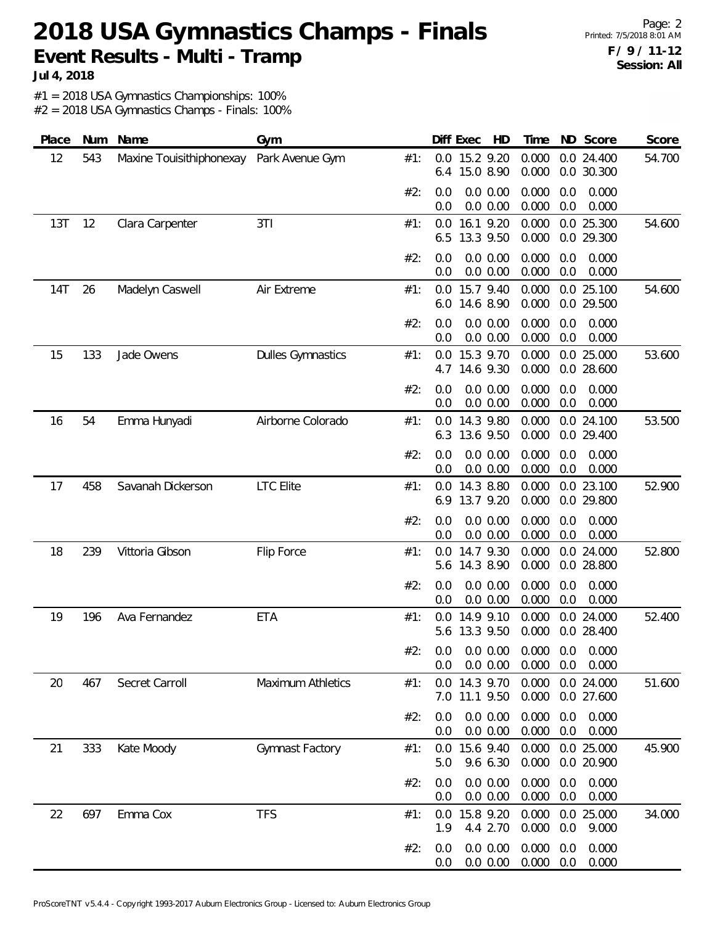**Jul 4, 2018**

#1 = 2018 USA Gymnastics Championships: 100%

| Place | Num | Name                     | Gym                      |     | Diff Exec<br>HD                                | ND Score<br>Time                                      | Score  |
|-------|-----|--------------------------|--------------------------|-----|------------------------------------------------|-------------------------------------------------------|--------|
| 12    | 543 | Maxine Touisithiphonexay | Park Avenue Gym          | #1: | 15.2 9.20<br>0.0<br>15.0 8.90<br>6.4           | 0.000<br>0.0 24.400<br>0.000<br>0.0 30.300            | 54.700 |
|       |     |                          |                          | #2: | 0.0 0.00<br>0.0<br>0.0 0.00<br>0.0             | 0.000<br>0.000<br>0.0<br>0.000<br>0.0<br>0.000        |        |
| 13T   | 12  | Clara Carpenter          | 3T1                      | #1: | 16.1 9.20<br>0.0<br>13.3 9.50<br>6.5           | 0.000<br>0.0 25.300<br>0.000<br>0.0 29.300            | 54.600 |
|       |     |                          |                          | #2: | 0.0 0.00<br>0.0<br>0.0 0.00<br>0.0             | 0.000<br>0.0<br>0.000<br>0.000<br>0.0<br>0.000        |        |
| 14T   | 26  | Madelyn Caswell          | Air Extreme              | #1: | 0.0 15.7 9.40<br>14.6 8.90<br>6.0              | 0.000<br>0.0 25.100<br>0.000<br>0.0 29.500            | 54.600 |
|       |     |                          |                          | #2: | 0.0 0.00<br>0.0<br>0.0<br>0.0 0.00             | 0.000<br>0.000<br>0.0<br>0.000<br>0.0<br>0.000        |        |
| 15    | 133 | Jade Owens               | <b>Dulles Gymnastics</b> | #1: | 15.3 9.70<br>0.0<br>14.6 9.30<br>4.7           | 0.000<br>0.0 25.000<br>0.000<br>0.0 28.600            | 53.600 |
|       |     |                          |                          | #2: | 0.0 0.00<br>0.0<br>0.0 0.00<br>0.0             | 0.000<br>0.000<br>0.0<br>0.000<br>0.0<br>0.000        |        |
| 16    | 54  | Emma Hunyadi             | Airborne Colorado        | #1: | 14.3 9.80<br>$0.0^{\circ}$<br>13.6 9.50<br>6.3 | 0.0 24.100<br>0.000<br>0.000<br>0.0 29.400            | 53.500 |
|       |     |                          |                          | #2: | 0.0 0.00<br>0.0<br>0.0 0.00<br>0.0             | 0.000<br>0.0<br>0.000<br>0.000<br>0.0<br>0.000        |        |
| 17    | 458 | Savanah Dickerson        | <b>LTC</b> Elite         | #1: | 14.3 8.80<br>0.0<br>13.7 9.20<br>6.9           | 0.000<br>0.0 23.100<br>0.000<br>0.0 29.800            | 52.900 |
|       |     |                          |                          | #2: | 0.0 0.00<br>0.0<br>0.0 0.00<br>0.0             | 0.000<br>0.0<br>0.000<br>0.000<br>0.0<br>0.000        |        |
| 18    | 239 | Vittoria Gibson          | Flip Force               | #1: | 14.7 9.30<br>0.0<br>14.3 8.90<br>5.6           | 0.000<br>0.0 24.000<br>0.000<br>0.0 28.800            | 52.800 |
|       |     |                          |                          | #2: | 0.0 0.00<br>0.0<br>0.0 0.00<br>0.0             | 0.000<br>0.000<br>0.0<br>0.000<br>0.0<br>0.000        |        |
| 19    | 196 | Ava Fernandez            | <b>ETA</b>               | #1: | 14.9 9.10<br>0.0<br>5.6 13.3 9.50              | 0.000<br>0.0 24.000<br>0.000<br>0.0 28.400            | 52.400 |
|       |     |                          |                          | #2∙ | 0.0 0.00<br>0.0                                | 0.0 0.0 0.00 0.000 0.0 0.000<br>0.000<br>0.0<br>0.000 |        |
| 20    | 467 | Secret Carroll           | <b>Maximum Athletics</b> | #1: | 0.0 14.3 9.70<br>7.0 11.1 9.50                 | 0.0 24.000<br>0.000<br>0.000<br>0.0 27.600            | 51.600 |
|       |     |                          |                          | #2: | 0.0 0.00<br>0.0<br>0.0 0.00<br>0.0             | 0.000<br>0.0<br>0.000<br>0.000<br>0.0<br>0.000        |        |
| 21    | 333 | Kate Moody               | Gymnast Factory          | #1: | 0.0 15.6 9.40<br>9.6 6.30<br>5.0               | 0.000<br>0.0 25.000<br>0.000<br>0.0 20.900            | 45.900 |
|       |     |                          |                          | #2: | 0.0 0.00<br>0.0<br>0.0 0.00<br>0.0             | 0.000<br>0.0<br>0.000<br>0.000<br>0.000<br>0.0        |        |
| 22    | 697 | Emma Cox                 | <b>TFS</b>               | #1: | 0.0 15.8 9.20<br>4.4 2.70<br>1.9               | 0.000<br>0.0 25.000<br>0.000<br>0.0<br>9.000          | 34.000 |
|       |     |                          |                          | #2: | 0.0 0.00<br>0.0<br>0.0 0.00<br>0.0             | 0.000<br>0.000<br>0.0<br>0.000<br>0.0<br>0.000        |        |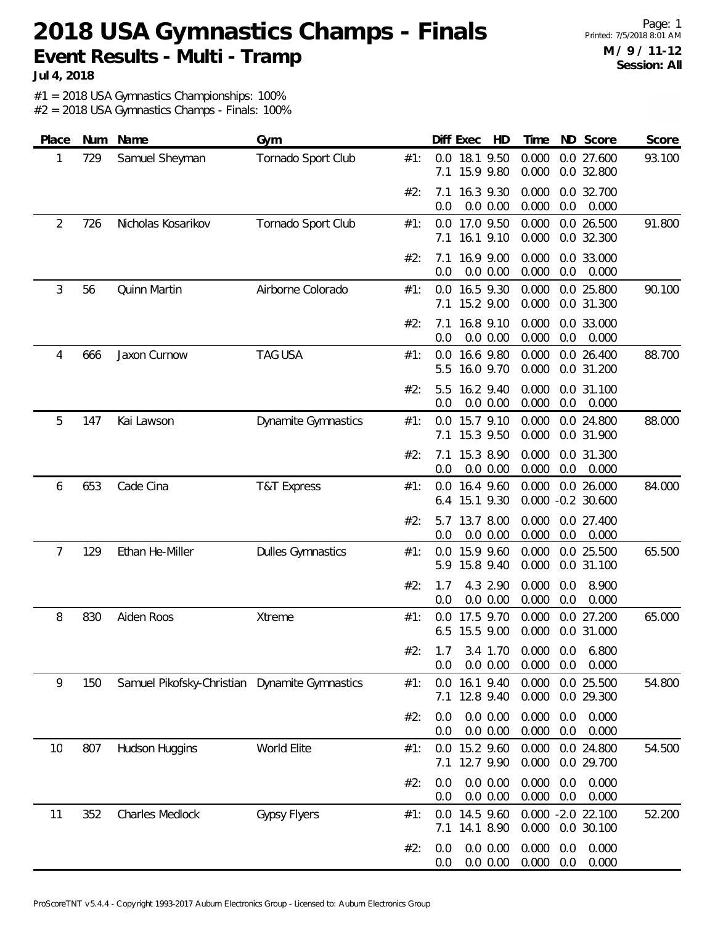Page: 1 Printed: 7/5/2018 8:01 AM **M / 9 / 11-12 Session: All**

**Jul 4, 2018**

#1 = 2018 USA Gymnastics Championships: 100%

| Place | Num | Name                                          | Gym                        |     | Diff Exec<br>HD                        | ND Score<br>Time                                      | Score  |
|-------|-----|-----------------------------------------------|----------------------------|-----|----------------------------------------|-------------------------------------------------------|--------|
| 1     | 729 | Samuel Sheyman                                | Tornado Sport Club         | #1: | 0.0<br>18.1 9.50<br>15.9 9.80<br>7.1   | 0.000<br>0.0 27.600<br>0.000<br>0.0 32.800            | 93.100 |
|       |     |                                               |                            | #2: | 16.3 9.30<br>7.1<br>0.0<br>0.0 0.00    | 0.000<br>0.0 32.700<br>0.000<br>0.0<br>0.000          |        |
| 2     | 726 | Nicholas Kosarikov                            | Tornado Sport Club         | #1: | 0.0 17.0 9.50<br>16.1 9.10<br>7.1      | 0.000<br>0.0 26.500<br>0.000<br>0.0 32.300            | 91.800 |
|       |     |                                               |                            | #2: | 16.9 9.00<br>7.1<br>0.0<br>0.0 0.00    | 0.000<br>0.0 33.000<br>0.000<br>0.000<br>0.0          |        |
| 3     | 56  | Quinn Martin                                  | Airborne Colorado          | #1: | 16.5 9.30<br>0.0<br>15.2 9.00<br>7.1   | 0.000<br>0.0 25.800<br>0.000<br>0.0 31.300            | 90.100 |
|       |     |                                               |                            | #2: | 16.8 9.10<br>7.1<br>0.0 0.00<br>0.0    | 0.000<br>0.0 33.000<br>0.000<br>0.0<br>0.000          |        |
| 4     | 666 | Jaxon Curnow                                  | <b>TAG USA</b>             | #1: | 16.6 9.80<br>0.0<br>16.0 9.70<br>5.5   | 0.000<br>0.0 26.400<br>0.000<br>0.0 31.200            | 88.700 |
|       |     |                                               |                            | #2: | 16.2 9.40<br>5.5<br>0.0 0.00<br>0.0    | 0.000<br>0.0 31.100<br>0.000<br>0.0<br>0.000          |        |
| 5     | 147 | Kai Lawson                                    | <b>Dynamite Gymnastics</b> | #1: | 15.7 9.10<br>0.0<br>15.3 9.50<br>7.1   | 0.000<br>0.0 24.800<br>0.000<br>0.0 31.900            | 88.000 |
|       |     |                                               |                            | #2: | 15.3 8.90<br>7.1<br>0.0 0.00<br>0.0    | 0.000<br>0.0 31.300<br>0.000<br>0.0<br>0.000          |        |
| 6     | 653 | Cade Cina                                     | <b>T&amp;T Express</b>     | #1: | 16.4 9.60<br>0.0<br>15.1 9.30<br>6.4   | 0.000<br>0.0 26.000<br>0.000<br>$-0.2$ 30.600         | 84.000 |
|       |     |                                               |                            | #2: | 13.7 8.00<br>5.7<br>0.0 0.00<br>0.0    | 0.000<br>0.0 27.400<br>0.000<br>0.0<br>0.000          |        |
| 7     | 129 | Ethan He-Miller                               | <b>Dulles Gymnastics</b>   | #1: | 15.9 9.60<br>0.0<br>15.8 9.40<br>5.9   | 0.000<br>0.0 25.500<br>0.000<br>0.0 31.100            | 65.500 |
|       |     |                                               |                            | #2: | 4.3 2.90<br>1.7<br>0.0 0.00<br>0.0     | 0.000<br>0.0<br>8.900<br>0.000<br>0.0<br>0.000        |        |
| 8     | 830 | Aiden Roos                                    | Xtreme                     | #1: | 17.5 9.70<br>0.0<br>6.5 15.5 9.00      | 0.000<br>0.0 27.200<br>0.000<br>0.0 31.000            | 65.000 |
|       |     |                                               |                            | #2: | 0.0 0.00<br>0.0                        | 1.7 3.4 1.70 0.000 0.0 6.800<br>0.000<br>0.0<br>0.000 |        |
| 9     | 150 | Samuel Pikofsky-Christian Dynamite Gymnastics |                            | #1: | 0.0 16.1 9.40<br>12.8 9.40<br>7.1      | 0.0 25.500<br>0.000<br>0.000<br>0.0 29.300            | 54.800 |
|       |     |                                               |                            | #2: | 0.0 0.00<br>0.0<br>0.0 0.00<br>$0.0\,$ | 0.000<br>0.0<br>0.000<br>0.000<br>0.000<br>0.0        |        |
| 10    | 807 | Hudson Huggins                                | World Elite                | #1: | 0.0 15.2 9.60<br>12.7 9.90<br>7.1      | 0.000<br>0.0 24.800<br>0.000<br>0.0 29.700            | 54.500 |
|       |     |                                               |                            | #2: | 0.0 0.00<br>0.0<br>0.0 0.00<br>0.0     | 0.000<br>0.0<br>0.000<br>0.000<br>0.000<br>0.0        |        |
| 11    | 352 | Charles Medlock                               | <b>Gypsy Flyers</b>        | #1: | 14.5 9.60<br>0.0<br>14.1 8.90<br>7.1   | 0.000 -2.0 22.100<br>0.000<br>0.0 30.100              | 52.200 |
|       |     |                                               |                            | #2: | 0.0 0.00<br>0.0<br>0.0 0.00<br>0.0     | 0.000<br>0.000<br>0.0<br>0.000<br>0.000<br>0.0        |        |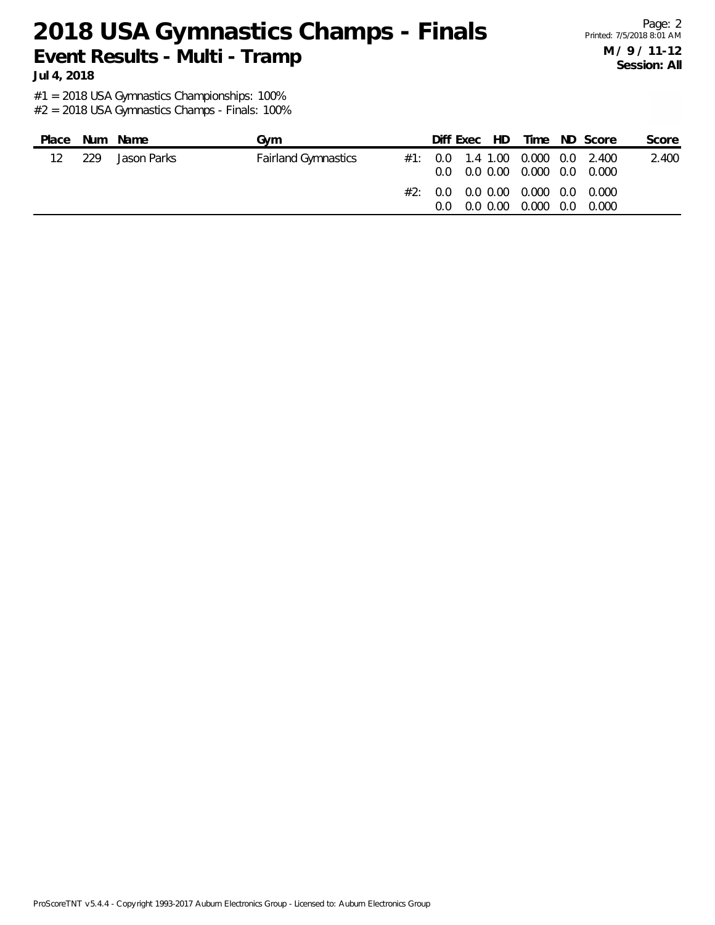Page: 2 Printed: 7/5/2018 8:01 AM **M / 9 / 11-12 Session: All**

**Jul 4, 2018**

#1 = 2018 USA Gymnastics Championships: 100%

| Place   |     | Num Name    | Gvm                        |     | Diff Exec HD                                                                     |  | Time ND Score | Score |
|---------|-----|-------------|----------------------------|-----|----------------------------------------------------------------------------------|--|---------------|-------|
| $12 \,$ | 229 | Jason Parks | <b>Fairland Gymnastics</b> |     | $\#1$ : 0.0 1.4 1.00 0.000 0.0 2.400<br>$0.0$ $0.0$ $0.00$ $0.000$ $0.0$ $0.000$ |  |               | 2.400 |
|         |     |             |                            | 0.O | #2: 0.0 0.0 0.00 0.000 0.00 0.000<br>0.0 0.00 0.000 0.0                          |  | 0.000         |       |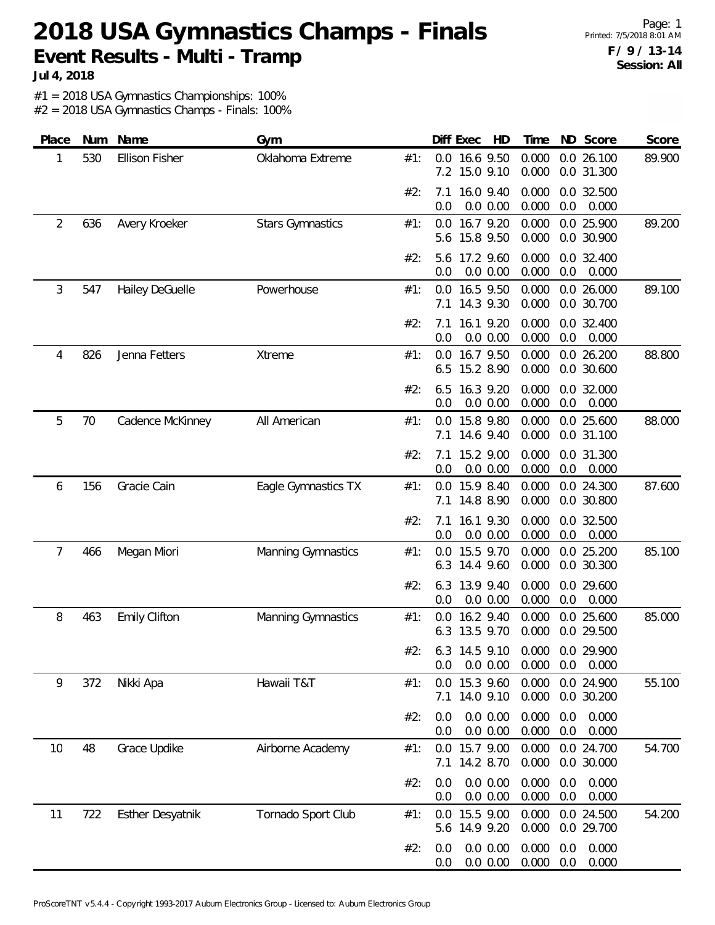Page: 1 Printed: 7/5/2018 8:01 AM **F / 9 / 13-14 Session: All**

**Jul 4, 2018**

#1 = 2018 USA Gymnastics Championships: 100%

| Place | Num | Name                    | Gym                     |     |            | Diff Exec<br>HD            | Time           |            | ND Score                 | Score  |
|-------|-----|-------------------------|-------------------------|-----|------------|----------------------------|----------------|------------|--------------------------|--------|
| 1     | 530 | <b>Ellison Fisher</b>   | Oklahoma Extreme        | #1: | 7.2        | 0.0 16.6 9.50<br>15.0 9.10 | 0.000<br>0.000 |            | 0.026.100<br>0.0 31.300  | 89.900 |
|       |     |                         |                         | #2: | 7.1<br>0.0 | 16.0 9.40<br>0.0 0.00      | 0.000<br>0.000 | 0.0        | 0.0 32.500<br>0.000      |        |
| 2     | 636 | Avery Kroeker           | <b>Stars Gymnastics</b> | #1: | 5.6        | 0.0 16.7 9.20<br>15.8 9.50 | 0.000<br>0.000 |            | 0.0 25.900<br>0.0 30.900 | 89.200 |
|       |     |                         |                         | #2: | 5.6<br>0.0 | 17.2 9.60<br>0.0 0.00      | 0.000<br>0.000 | 0.0        | 0.0 32.400<br>0.000      |        |
| 3     | 547 | Hailey DeGuelle         | Powerhouse              | #1: | 0.0<br>7.1 | 16.5 9.50<br>14.3 9.30     | 0.000<br>0.000 |            | 0.0 26.000<br>0.0 30.700 | 89.100 |
|       |     |                         |                         | #2: | 7.1<br>0.0 | 16.1 9.20<br>0.0 0.00      | 0.000<br>0.000 | 0.0        | 0.0 32.400<br>0.000      |        |
| 4     | 826 | Jenna Fetters           | <b>Xtreme</b>           | #1: | 0.0<br>6.5 | 16.7 9.50<br>15.2 8.90     | 0.000<br>0.000 |            | 0.0 26.200<br>0.0 30.600 | 88.800 |
|       |     |                         |                         | #2: | 6.5<br>0.0 | 16.3 9.20<br>0.0 0.00      | 0.000<br>0.000 | 0.0        | 0.0 32.000<br>0.000      |        |
| 5     | 70  | Cadence McKinney        | All American            | #1: | 0.0<br>7.1 | 15.8 9.80<br>14.6 9.40     | 0.000<br>0.000 |            | 0.0 25.600<br>0.0 31.100 | 88.000 |
|       |     |                         |                         | #2: | 7.1<br>0.0 | 15.2 9.00<br>0.0 0.00      | 0.000<br>0.000 | 0.0        | 0.0 31.300<br>0.000      |        |
| 6     | 156 | Gracie Cain             | Eagle Gymnastics TX     | #1: | 7.1        | 0.0 15.9 8.40<br>14.8 8.90 | 0.000<br>0.000 |            | 0.0 24.300<br>0.0 30.800 | 87.600 |
|       |     |                         |                         | #2: | 7.1<br>0.0 | 16.1 9.30<br>0.0 0.00      | 0.000<br>0.000 | 0.0        | 0.0 32.500<br>0.000      |        |
| 7     | 466 | Megan Miori             | Manning Gymnastics      | #1: | 0.0<br>6.3 | 15.5 9.70<br>14.4 9.60     | 0.000<br>0.000 |            | 0.0 25.200<br>0.0 30.300 | 85.100 |
|       |     |                         |                         | #2: | 6.3<br>0.0 | 13.9 9.40<br>0.0 0.00      | 0.000<br>0.000 | 0.0        | 0.0 29.600<br>0.000      |        |
| 8     | 463 | <b>Emily Clifton</b>    | Manning Gymnastics      | #1: | 0.0<br>6.3 | 16.2 9.40<br>13.5 9.70     | 0.000<br>0.000 |            | 0.0 25.600<br>0.0 29.500 | 85.000 |
|       |     |                         |                         | #2: | 0.0        | 6.3 14.5 9.10<br>0.0 0.00  | 0.000<br>0.000 | 0.0        | 0.0 29.900<br>0.000      |        |
| 9     | 372 | Nikki Apa               | Hawaii T&T              | #1: | 0.0<br>7.1 | 15.3 9.60<br>14.0 9.10     | 0.000<br>0.000 |            | 0.0 24.900<br>0.0 30.200 | 55.100 |
|       |     |                         |                         | #2: | 0.0<br>0.0 | 0.0 0.00<br>0.0 0.00       | 0.000<br>0.000 | 0.0<br>0.0 | 0.000<br>0.000           |        |
| 10    | 48  | Grace Updike            | Airborne Academy        | #1: | 0.0<br>7.1 | 15.7 9.00<br>14.2 8.70     | 0.000<br>0.000 |            | 0.0 24.700<br>0.0 30.000 | 54.700 |
|       |     |                         |                         | #2: | 0.0<br>0.0 | 0.0 0.00<br>0.0 0.00       | 0.000<br>0.000 | 0.0<br>0.0 | 0.000<br>0.000           |        |
| 11    | 722 | <b>Esther Desyatnik</b> | Tornado Sport Club      | #1: | 0.0<br>5.6 | 15.5 9.00<br>14.9 9.20     | 0.000<br>0.000 |            | 0.0 24.500<br>0.0 29.700 | 54.200 |
|       |     |                         |                         | #2: | 0.0<br>0.0 | 0.0 0.00<br>0.0 0.00       | 0.000<br>0.000 | 0.0<br>0.0 | 0.000<br>0.000           |        |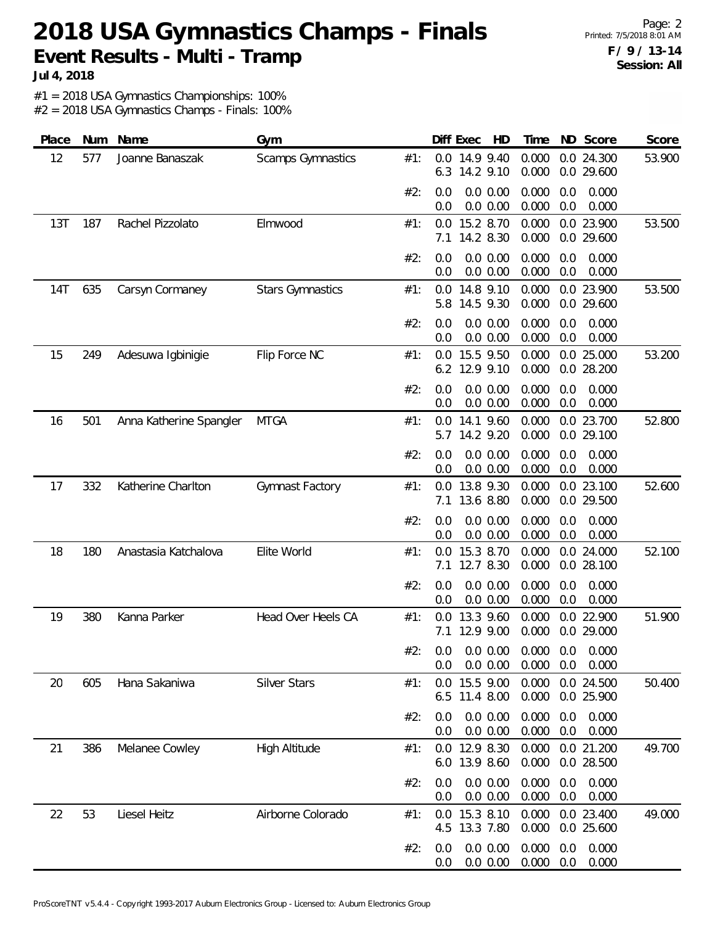**Jul 4, 2018**

#1 = 2018 USA Gymnastics Championships: 100%

| Place      | Num | Name                    | Gym                      |     |            | Diff Exec<br>HD                                      | Time           |            | ND Score                 | Score  |
|------------|-----|-------------------------|--------------------------|-----|------------|------------------------------------------------------|----------------|------------|--------------------------|--------|
| 12         | 577 | Joanne Banaszak         | <b>Scamps Gymnastics</b> | #1: | 6.3        | 0.0 14.9 9.40<br>14.2 9.10                           | 0.000<br>0.000 |            | 0.0 24.300<br>0.0 29.600 | 53.900 |
|            |     |                         |                          | #2: | 0.0<br>0.0 | 0.0 0.00<br>0.0 0.00                                 | 0.000<br>0.000 | 0.0<br>0.0 | 0.000<br>0.000           |        |
| 13T        | 187 | Rachel Pizzolato        | Elmwood                  | #1: | 7.1        | 0.0 15.2 8.70<br>14.2 8.30                           | 0.000<br>0.000 |            | 0.0 23.900<br>0.0 29.600 | 53.500 |
|            |     |                         |                          | #2: | 0.0<br>0.0 | 0.0 0.00<br>0.0 0.00                                 | 0.000<br>0.000 | 0.0<br>0.0 | 0.000<br>0.000           |        |
| <b>14T</b> | 635 | Carsyn Cormaney         | <b>Stars Gymnastics</b>  | #1: | 0.0<br>5.8 | 14.8 9.10<br>14.5 9.30                               | 0.000<br>0.000 |            | 0.0 23.900<br>0.0 29.600 | 53.500 |
|            |     |                         |                          | #2: | 0.0<br>0.0 | $0.0\ 0.00$<br>0.0 0.00                              | 0.000<br>0.000 | 0.0<br>0.0 | 0.000<br>0.000           |        |
| 15         | 249 | Adesuwa Igbinigie       | Flip Force NC            | #1: | 0.0<br>6.2 | 15.5 9.50<br>12.9 9.10                               | 0.000<br>0.000 |            | 0.0 25.000<br>0.0 28.200 | 53.200 |
|            |     |                         |                          | #2: | 0.0<br>0.0 | 0.0 0.00<br>0.0 0.00                                 | 0.000<br>0.000 | 0.0<br>0.0 | 0.000<br>0.000           |        |
| 16         | 501 | Anna Katherine Spangler | <b>MTGA</b>              | #1: | 0.0<br>5.7 | 14.1 9.60<br>14.2 9.20                               | 0.000<br>0.000 |            | 0.0 23.700<br>0.0 29.100 | 52.800 |
|            |     |                         |                          | #2: | 0.0<br>0.0 | 0.0 0.00<br>0.0 0.00                                 | 0.000<br>0.000 | 0.0<br>0.0 | 0.000<br>0.000           |        |
| 17         | 332 | Katherine Charlton      | Gymnast Factory          | #1: | 0.0<br>7.1 | 13.8 9.30<br>13.6 8.80                               | 0.000<br>0.000 |            | 0.0 23.100<br>0.0 29.500 | 52.600 |
|            |     |                         |                          | #2: | 0.0<br>0.0 | 0.0 0.00<br>0.0 0.00                                 | 0.000<br>0.000 | 0.0<br>0.0 | 0.000<br>0.000           |        |
| 18         | 180 | Anastasia Katchalova    | Elite World              | #1: | 0.0<br>7.1 | 15.3 8.70<br>12.7 8.30                               | 0.000<br>0.000 |            | 0.0 24.000<br>0.0 28.100 | 52.100 |
|            |     |                         |                          | #2: | 0.0<br>0.0 | 0.0 0.00<br>0.0 0.00                                 | 0.000<br>0.000 | 0.0<br>0.0 | 0.000<br>0.000           |        |
| 19         | 380 | Kanna Parker            | Head Over Heels CA       | #1: | 0.0<br>7.1 | 13.3 9.60<br>12.9 9.00                               | 0.000<br>0.000 |            | 0.0 22.900<br>0.0 29.000 | 51.900 |
|            |     |                         |                          | #2: | 0.0        | $0.0$ $0.0$ $0.00$ $0.000$ $0.0$ $0.000$<br>0.0 0.00 | 0.000          | 0.0        | 0.000                    |        |
| 20         | 605 | Hana Sakaniwa           | <b>Silver Stars</b>      | #1: |            | 0.0 15.5 9.00<br>6.5 11.4 8.00                       | 0.000<br>0.000 |            | 0.0 24.500<br>0.0 25.900 | 50.400 |
|            |     |                         |                          | #2: | 0.0<br>0.0 | 0.0 0.00<br>0.0 0.00                                 | 0.000<br>0.000 | 0.0<br>0.0 | 0.000<br>0.000           |        |
| 21         | 386 | Melanee Cowley          | High Altitude            | #1: |            | 0.0 12.9 8.30<br>6.0 13.9 8.60                       | 0.000<br>0.000 |            | 0.0 21.200<br>0.0 28.500 | 49.700 |
|            |     |                         |                          | #2: | 0.0<br>0.0 | 0.0 0.00<br>0.0 0.00                                 | 0.000<br>0.000 | 0.0<br>0.0 | 0.000<br>0.000           |        |
| 22         | 53  | Liesel Heitz            | Airborne Colorado        | #1: |            | 0.0 15.3 8.10<br>4.5 13.3 7.80                       | 0.000<br>0.000 |            | 0.0 23.400<br>0.0 25.600 | 49.000 |
|            |     |                         |                          | #2: | 0.0<br>0.0 | 0.0 0.00<br>0.0 0.00                                 | 0.000<br>0.000 | 0.0<br>0.0 | 0.000<br>0.000           |        |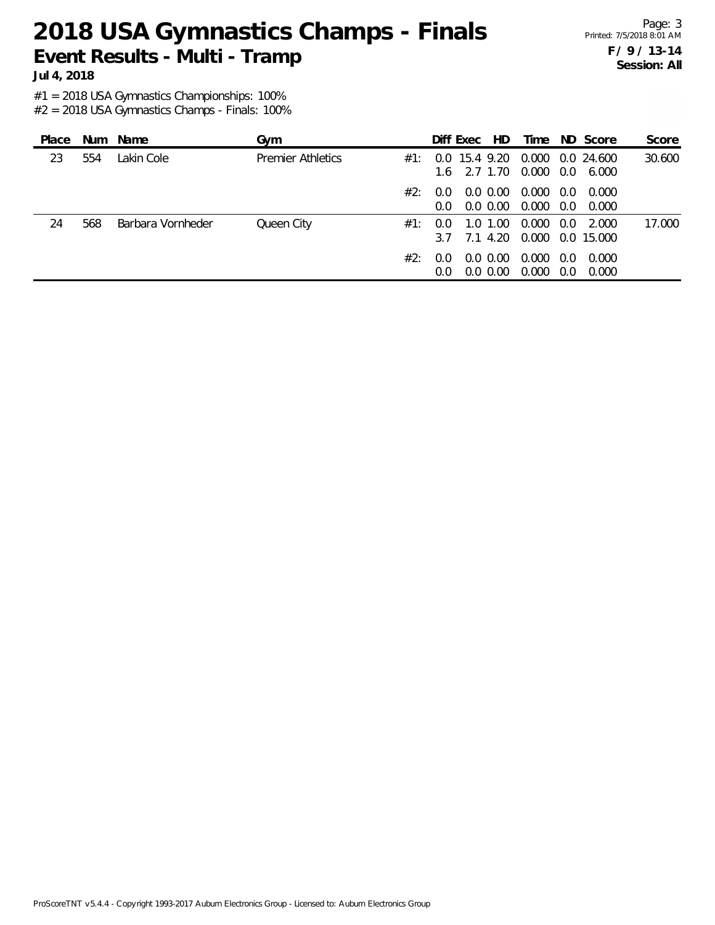**Jul 4, 2018**

#1 = 2018 USA Gymnastics Championships: 100%

| Place |     | Num Name          | Gym                      |     |                      | Diff Exec                   | HD.                        | Time           |               | ND Score                  | Score  |
|-------|-----|-------------------|--------------------------|-----|----------------------|-----------------------------|----------------------------|----------------|---------------|---------------------------|--------|
| 23    | 554 | Lakin Cole        | <b>Premier Athletics</b> | #1: | 0.0                  | 15.4 9.20<br>$1.6$ 2.7 1.70 |                            | 0.000<br>0.000 | 0.0           | 0.0 24.600<br>6.000       | 30.600 |
|       |     |                   |                          | #2: | 0.0<br>0.0           |                             | $0.0\,0.00$<br>$0.0\,0.00$ | 0.000<br>0.000 | 0.0<br>0.0    | 0.000<br>0.000            |        |
| 24    | 568 | Barbara Vornheder | Queen City               | #1: | 0.0<br>3.7           | 1.O                         | 1.00<br>7.1 4.20           | 0.000          | $0.0^{\circ}$ | 2.000<br>0.000 0.0 15.000 | 17.000 |
|       |     |                   |                          | #2: | 0.0<br>$0.0^{\circ}$ |                             | $0.0\,0.00$<br>$0.0\,0.00$ | 0.000<br>0.000 | 0.0<br>0.0    | 0.000<br>0.000            |        |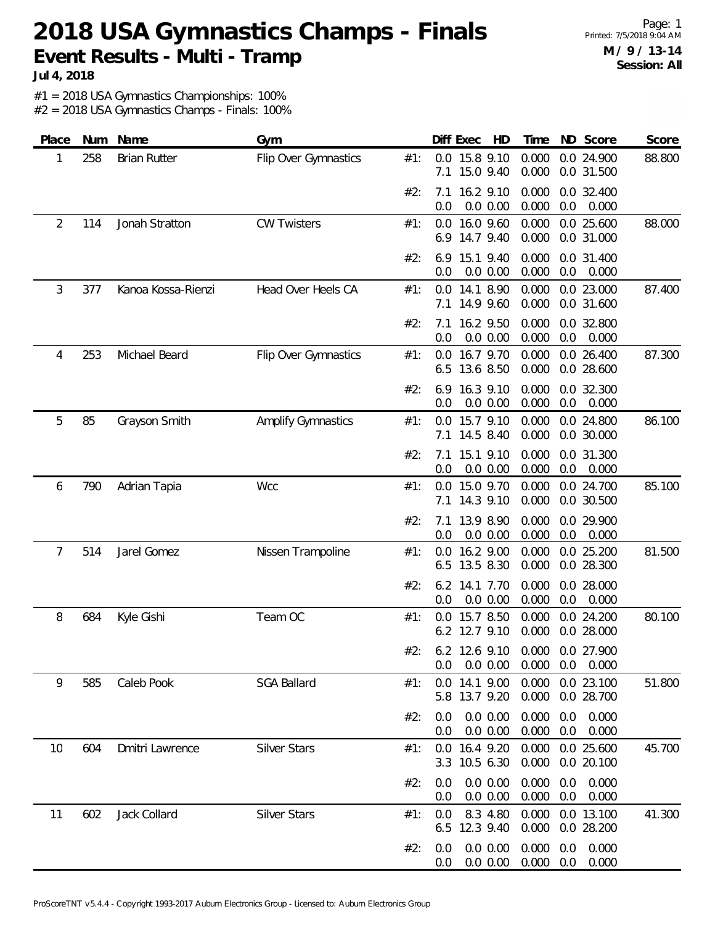Page: 1 Printed: 7/5/2018 9:04 AM **M / 9 / 13-14 Session: All**

**Jul 4, 2018**

#1 = 2018 USA Gymnastics Championships: 100%

| Place | Num | Name                | Gym                  |     | Diff Exec<br>HD                                                   | Time                         | ND Score                             | Score  |
|-------|-----|---------------------|----------------------|-----|-------------------------------------------------------------------|------------------------------|--------------------------------------|--------|
| 1     | 258 | <b>Brian Rutter</b> | Flip Over Gymnastics | #1: | 15.8 9.10<br>0.0<br>15.0 9.40<br>7.1                              | 0.000<br>0.000               | 0.0 24.900<br>0.0 31.500             | 88.800 |
|       |     |                     |                      | #2: | 16.2 9.10<br>7.1<br>0.0 0.00<br>0.0                               | 0.000<br>0.000<br>0.0        | 0.0 32.400<br>0.000                  |        |
| 2     | 114 | Jonah Stratton      | <b>CW Twisters</b>   | #1: | 16.0 9.60<br>0.0<br>14.7 9.40<br>6.9                              | 0.000<br>0.000               | 0.0 25.600<br>0.0 31.000             | 88.000 |
|       |     |                     |                      | #2: | 15.1 9.40<br>6.9<br>0.0 0.00<br>0.0                               | 0.000<br>0.000<br>0.0        | 0.0 31.400<br>0.000                  |        |
| 3     | 377 | Kanoa Kossa-Rienzi  | Head Over Heels CA   | #1: | 14.1 8.90<br>0.0<br>14.9 9.60<br>7.1                              | 0.000<br>0.000               | 0.0 23.000<br>0.0 31.600             | 87.400 |
|       |     |                     |                      | #2: | 16.2 9.50<br>7.1<br>0.0<br>0.0 0.00                               | 0.000<br>0.000<br>0.0        | 0.0 32.800<br>0.000                  |        |
| 4     | 253 | Michael Beard       | Flip Over Gymnastics | #1: | 16.7 9.70<br>0.0<br>13.6 8.50<br>6.5                              | 0.000<br>0.000               | 0.0 26.400<br>0.0 28.600             | 87.300 |
|       |     |                     |                      | #2: | 16.3 9.10<br>6.9<br>0.0 0.00<br>0.0                               | 0.000<br>0.000<br>0.0        | 0.0 32.300<br>0.000                  |        |
| 5     | 85  | Grayson Smith       | Amplify Gymnastics   | #1: | 15.7 9.10<br>0.0<br>14.5 8.40<br>7.1                              | 0.000<br>0.000               | 0.0 24.800<br>0.0 30.000             | 86.100 |
|       |     |                     |                      | #2: | 15.1 9.10<br>7.1<br>0.0<br>0.0 0.00                               | 0.000<br>0.000<br>0.0        | 0.0 31.300<br>0.000                  |        |
| 6     | 790 | Adrian Tapia        | Wcc                  | #1: | 0.0 15.0 9.70<br>14.3 9.10<br>7.1                                 | 0.000<br>0.000               | 0.0 24.700<br>0.0 30.500             | 85.100 |
|       |     |                     |                      | #2: | 13.9 8.90<br>7.1<br>0.0 0.00<br>0.0                               | 0.000<br>0.000<br>0.0        | 0.0 29.900<br>0.000                  |        |
| 7     | 514 | Jarel Gomez         | Nissen Trampoline    | #1: | 16.2 9.00<br>0.0<br>13.5 8.30<br>6.5                              | 0.000<br>0.000               | 0.0 25.200<br>0.0 28.300             | 81.500 |
|       |     |                     |                      | #2: | 6.2 14.1 7.70<br>0.0 0.00<br>0.0                                  | 0.000<br>0.000<br>0.0        | 0.0 28.000<br>0.000                  |        |
| 8     | 684 | Kyle Gishi          | Team OC              | #1: | 15.7 8.50<br>0.0<br>6.2 12.7 9.10                                 | 0.000<br>0.000               | 0.0 24.200<br>0.0 28.000             | 80.100 |
|       |     |                     |                      | #2: | 6.2 12.6 9.10 0.000 0.0 27.900<br>$0.0\,0.00$<br>0.0 <sub>1</sub> | $0.000$ $0.0$ $0.000$        |                                      |        |
| 9     | 585 | Caleb Pook          | <b>SGA Ballard</b>   | #1: | 0.0 14.1 9.00<br>5.8 13.7 9.20                                    | 0.000<br>0.000               | 0.0 23.100<br>0.0 28.700             | 51.800 |
|       |     |                     |                      | #2: | 0.0 0.00<br>0.0<br>0.0 0.00<br>0.0                                | 0.000<br>0.000               | $0.0\quad 0.000$<br>$0.0\quad 0.000$ |        |
| 10    | 604 | Dmitri Lawrence     | <b>Silver Stars</b>  | #1: | 0.0 16.4 9.20<br>3.3 10.5 6.30                                    | 0.000<br>0.000               | 0.0 25.600<br>0.0 20.100             | 45.700 |
|       |     |                     |                      | #2: | 0.0 0.00<br>0.0<br>0.0 0.00<br>0.0                                | 0.000<br>0.0<br>0.000<br>0.0 | 0.000<br>0.000                       |        |
| 11    | 602 | Jack Collard        | <b>Silver Stars</b>  | #1: | 8.3 4.80<br>0.0<br>6.5 12.3 9.40                                  | 0.000<br>0.000               | 0.0 13.100<br>0.0 28.200             | 41.300 |
|       |     |                     |                      | #2: | 0.0 0.00<br>0.0<br>0.0 0.00<br>0.0                                | 0.000<br>0.0<br>0.000<br>0.0 | 0.000<br>0.000                       |        |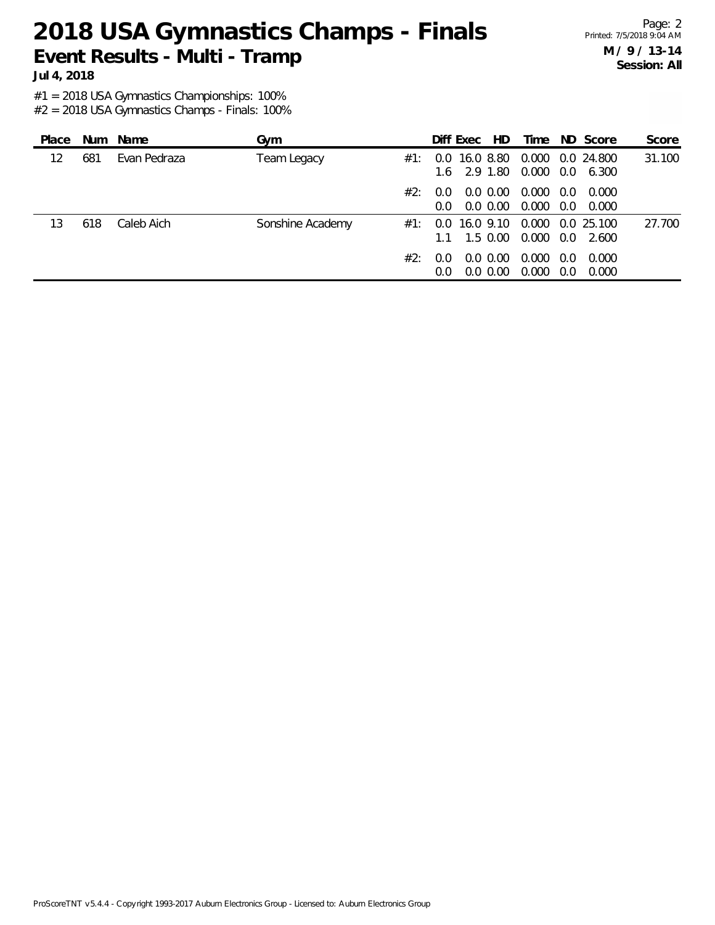**Jul 4, 2018**

#1 = 2018 USA Gymnastics Championships: 100%

| Place |     | Num Name     | Gym              |     |                          | Diff Exec                                   | HD.                        | Time           |            | ND Score                            | Score  |
|-------|-----|--------------|------------------|-----|--------------------------|---------------------------------------------|----------------------------|----------------|------------|-------------------------------------|--------|
| 12    | 681 | Evan Pedraza | Team Legacy      | #1: | 0.0                      | 16.0 8.80<br>1.6 2.9 1.80                   |                            | 0.000          |            | 0.0 24.800<br>0.000 0.0 6.300       | 31.100 |
|       |     |              |                  | #2: | $0.0^-$<br>$0.0^{\circ}$ |                                             | $0.0\,0.00$<br>$0.0\,0.00$ | 0.000<br>0.000 | 0.0<br>0.0 | 0.000<br>0.000                      |        |
| 13    | 618 | Caleb Aich   | Sonshine Academy | #1: |                          | 0.0 16.0 9.10<br>$1.1 \quad 1.5 \quad 0.00$ |                            |                |            | 0.000 0.0 25.100<br>0.000 0.0 2.600 | 27.700 |
|       |     |              |                  | #2: | $0.0^-$<br>$0.0^{\circ}$ |                                             | $0.0\,0.00$<br>$0.0\,0.00$ | 0.000<br>0.000 | 0.0<br>0.0 | 0.000<br>0.000                      |        |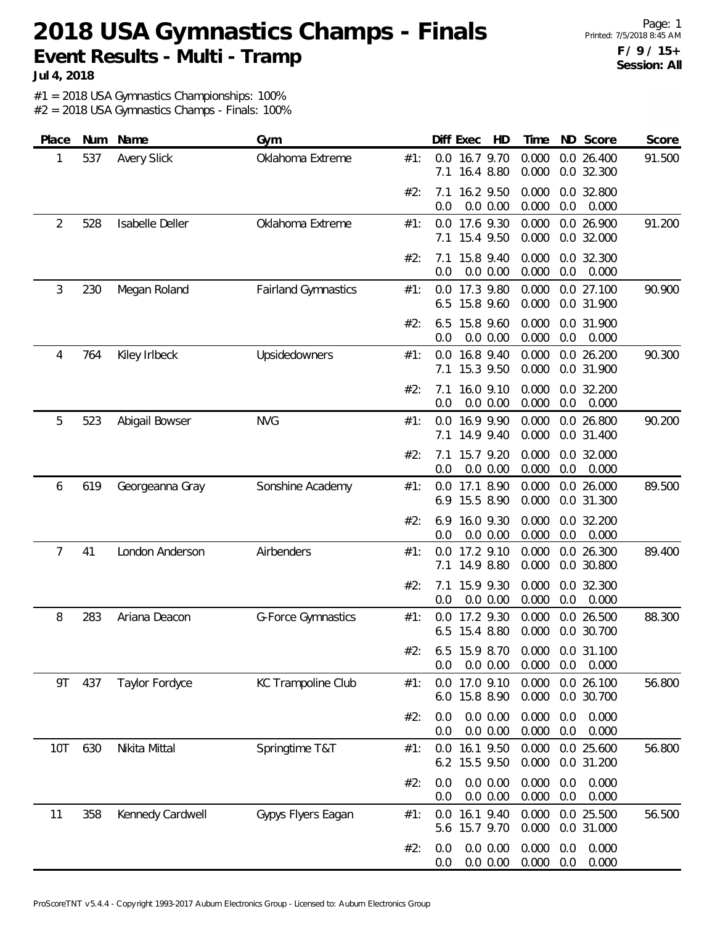Page: 1 Printed: 7/5/2018 8:45 AM **F / 9 / 15+ Session: All**

**Jul 4, 2018**

#1 = 2018 USA Gymnastics Championships: 100%

| Place | Num | Name               | Gym                        |     | Diff Exec<br>HD                                   | Time                         | ND Score                 | Score  |
|-------|-----|--------------------|----------------------------|-----|---------------------------------------------------|------------------------------|--------------------------|--------|
| 1     | 537 | <b>Avery Slick</b> | Oklahoma Extreme           | #1: | 0.0 16.7 9.70<br>16.4 8.80<br>7.1                 | 0.000<br>0.000               | 0.0 26.400<br>0.0 32.300 | 91.500 |
|       |     |                    |                            | #2: | 16.2 9.50<br>7.1<br>0.0<br>0.0 0.00               | 0.000<br>0.000<br>0.0        | 0.0 32.800<br>0.000      |        |
| 2     | 528 | Isabelle Deller    | Oklahoma Extreme           | #1: | 0.0 17.6 9.30<br>15.4 9.50<br>7.1                 | 0.000<br>0.000               | 0.0 26.900<br>0.0 32.000 | 91.200 |
|       |     |                    |                            | #2: | 15.8 9.40<br>7.1<br>0.0 0.00<br>0.0               | 0.000<br>0.000<br>0.0        | 0.0 32.300<br>0.000      |        |
| 3     | 230 | Megan Roland       | <b>Fairland Gymnastics</b> | #1: | 17.3 9.80<br>0.0<br>15.8 9.60<br>6.5              | 0.000<br>0.000               | 0.0 27.100<br>0.0 31.900 | 90.900 |
|       |     |                    |                            | #2: | 15.8 9.60<br>6.5<br>0.0 0.00<br>0.0               | 0.000<br>0.000<br>0.0        | 0.0 31.900<br>0.000      |        |
| 4     | 764 | Kiley Irlbeck      | Upsidedowners              | #1: | 16.8 9.40<br>0.0<br>15.3 9.50<br>7.1              | 0.000<br>0.000               | 0.0 26.200<br>0.0 31.900 | 90.300 |
|       |     |                    |                            | #2: | 16.0 9.10<br>7.1<br>0.0<br>0.0 0.00               | 0.000<br>0.000<br>0.0        | 0.0 32.200<br>0.000      |        |
| 5     | 523 | Abigail Bowser     | <b>NVG</b>                 | #1: | 16.9 9.90<br>0.0<br>14.9 9.40<br>7.1              | 0.000<br>0.000               | 0.0 26.800<br>0.0 31.400 | 90.200 |
|       |     |                    |                            | #2: | 15.7 9.20<br>7.1<br>0.0<br>0.0 0.00               | 0.000<br>0.000<br>0.0        | 0.0 32.000<br>0.000      |        |
| 6     | 619 | Georgeanna Gray    | Sonshine Academy           | #1: | 17.1 8.90<br>0.0<br>15.5 8.90<br>6.9              | 0.000<br>0.000               | 0.0 26.000<br>0.0 31.300 | 89.500 |
|       |     |                    |                            | #2: | 16.0 9.30<br>6.9<br>0.0 0.00<br>0.0               | 0.000<br>0.000<br>0.0        | 0.0 32.200<br>0.000      |        |
| 7     | 41  | London Anderson    | Airbenders                 | #1: | 17.2 9.10<br>0.0<br>14.9 8.80<br>7.1              | 0.000<br>0.000               | 0.0 26.300<br>0.0 30.800 | 89.400 |
|       |     |                    |                            | #2: | 15.9 9.30<br>7.1<br>0.0<br>0.0 0.00               | 0.000<br>0.000<br>0.0        | 0.0 32.300<br>0.000      |        |
| 8     | 283 | Ariana Deacon      | <b>G-Force Gymnastics</b>  | #1: | 17.2 9.30<br>0.0<br>15.4 8.80<br>6.5              | 0.000<br>0.000               | 0.0 26.500<br>0.0 30.700 | 88.300 |
|       |     |                    |                            | #2: | 6.5 15.9 8.70 0.000 0.0 31.100<br>0.0 0.00<br>0.0 | 0.000<br>0.0                 | 0.000                    |        |
| 9T    | 437 | Taylor Fordyce     | KC Trampoline Club         | #1: | 17.0 9.10<br>0.0<br>15.8 8.90<br>6.0              | 0.000<br>0.000               | 0.0 26.100<br>0.0 30.700 | 56.800 |
|       |     |                    |                            | #2: | 0.0 0.00<br>0.0<br>0.0 0.00<br>0.0                | 0.000<br>0.0<br>0.000<br>0.0 | 0.000<br>0.000           |        |
| 10T   | 630 | Nikita Mittal      | Springtime T&T             | #1: | 16.1 9.50<br>0.0<br>6.2 15.5 9.50                 | 0.000<br>0.000               | 0.0 25.600<br>0.0 31.200 | 56.800 |
|       |     |                    |                            | #2: | 0.0 0.00<br>0.0<br>0.0 0.00<br>0.0                | 0.000<br>0.0<br>0.000<br>0.0 | 0.000<br>0.000           |        |
| 11    | 358 | Kennedy Cardwell   | Gypys Flyers Eagan         | #1: | 16.1 9.40<br>0.0<br>15.7 9.70<br>5.6              | 0.000<br>0.000               | 0.0 25.500<br>0.0 31.000 | 56.500 |
|       |     |                    |                            | #2: | 0.0 0.00<br>0.0<br>0.0<br>0.0 0.00                | 0.000<br>0.0<br>0.000<br>0.0 | 0.000<br>0.000           |        |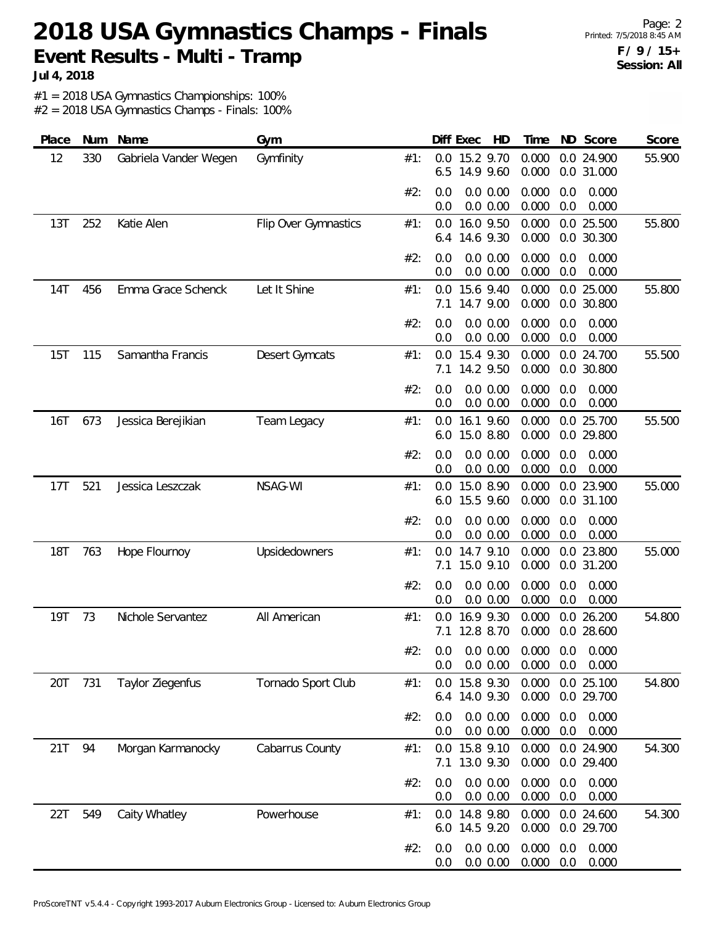**Jul 4, 2018**

#1 = 2018 USA Gymnastics Championships: 100%

| Place      | Num | Name                  | Gym                  |     |            | Diff Exec<br>HD                                      | Time           |            | ND Score                 | Score  |
|------------|-----|-----------------------|----------------------|-----|------------|------------------------------------------------------|----------------|------------|--------------------------|--------|
| 12         | 330 | Gabriela Vander Wegen | Gymfinity            | #1: | 0.0<br>6.5 | 15.2 9.70<br>14.9 9.60                               | 0.000<br>0.000 |            | 0.0 24.900<br>0.0 31.000 | 55.900 |
|            |     |                       |                      | #2: | 0.0<br>0.0 | 0.0 0.00<br>0.0 0.00                                 | 0.000<br>0.000 | 0.0<br>0.0 | 0.000<br>0.000           |        |
| 13T        | 252 | Katie Alen            | Flip Over Gymnastics | #1: | 0.0<br>6.4 | 16.0 9.50<br>14.6 9.30                               | 0.000<br>0.000 |            | 0.0 25.500<br>0.0 30.300 | 55.800 |
|            |     |                       |                      | #2: | 0.0<br>0.0 | 0.0 0.00<br>0.0 0.00                                 | 0.000<br>0.000 | 0.0<br>0.0 | 0.000<br>0.000           |        |
| 14T        | 456 | Emma Grace Schenck    | Let It Shine         | #1: | 0.0<br>7.1 | 15.6 9.40<br>14.7 9.00                               | 0.000<br>0.000 |            | 0.0 25.000<br>0.0 30.800 | 55.800 |
|            |     |                       |                      | #2: | 0.0<br>0.0 | 0.0 0.00<br>0.0 0.00                                 | 0.000<br>0.000 | 0.0<br>0.0 | 0.000<br>0.000           |        |
| 15T        | 115 | Samantha Francis      | Desert Gymcats       | #1: | 0.0<br>7.1 | 15.4 9.30<br>14.2 9.50                               | 0.000<br>0.000 |            | 0.0 24.700<br>0.0 30.800 | 55.500 |
|            |     |                       |                      | #2: | 0.0<br>0.0 | 0.0 0.00<br>0.0 0.00                                 | 0.000<br>0.000 | 0.0<br>0.0 | 0.000<br>0.000           |        |
| 16T        | 673 | Jessica Berejikian    | Team Legacy          | #1: | 0.0<br>6.0 | 16.1 9.60<br>15.0 8.80                               | 0.000<br>0.000 |            | 0.0 25.700<br>0.0 29.800 | 55.500 |
|            |     |                       |                      | #2: | 0.0<br>0.0 | $0.0\ 0.00$<br>0.0 0.00                              | 0.000<br>0.000 | 0.0<br>0.0 | 0.000<br>0.000           |        |
| 17T        | 521 | Jessica Leszczak      | NSAG-WI              | #1: | 0.0<br>6.0 | 15.0 8.90<br>15.5 9.60                               | 0.000<br>0.000 |            | 0.0 23.900<br>0.0 31.100 | 55.000 |
|            |     |                       |                      | #2: | 0.0<br>0.0 | 0.0 0.00<br>0.0 0.00                                 | 0.000<br>0.000 | 0.0<br>0.0 | 0.000<br>0.000           |        |
| <b>18T</b> | 763 | Hope Flournoy         | Upsidedowners        | #1: | 0.0<br>7.1 | 14.7 9.10<br>15.0 9.10                               | 0.000<br>0.000 |            | 0.0 23.800<br>0.0 31.200 | 55.000 |
|            |     |                       |                      | #2: | 0.0<br>0.0 | 0.0 0.00<br>0.0 0.00                                 | 0.000<br>0.000 | 0.0<br>0.0 | 0.000<br>0.000           |        |
| 19T        | 73  | Nichole Servantez     | All American         | #1: | 0.0<br>7.1 | 16.9 9.30<br>12.8 8.70                               | 0.000<br>0.000 |            | 0.0 26.200<br>0.0 28.600 | 54.800 |
|            |     |                       |                      | #2: | 0.0        | $0.0$ $0.0$ $0.00$ $0.000$ $0.0$ $0.000$<br>0.0 0.00 | 0.000          | 0.0        | 0.000                    |        |
| 20T        | 731 | Taylor Ziegenfus      | Tornado Sport Club   | #1: | 0.0<br>6.4 | 15.8 9.30<br>14.0 9.30                               | 0.000<br>0.000 |            | 0.0 25.100<br>0.0 29.700 | 54.800 |
|            |     |                       |                      | #2: | 0.0<br>0.0 | 0.0 0.00<br>0.0 0.00                                 | 0.000<br>0.000 | 0.0<br>0.0 | 0.000<br>0.000           |        |
| 21T        | 94  | Morgan Karmanocky     | Cabarrus County      | #1: | 7.1        | 0.0 15.8 9.10<br>13.0 9.30                           | 0.000<br>0.000 |            | 0.0 24.900<br>0.0 29.400 | 54.300 |
|            |     |                       |                      | #2: | 0.0<br>0.0 | 0.0 0.00<br>0.0 0.00                                 | 0.000<br>0.000 | 0.0<br>0.0 | 0.000<br>0.000           |        |
| 22T        | 549 | Caity Whatley         | Powerhouse           | #1: | 0.0        | 14.8 9.80<br>6.0 14.5 9.20                           | 0.000<br>0.000 |            | 0.0 24.600<br>0.0 29.700 | 54.300 |
|            |     |                       |                      | #2: | 0.0<br>0.0 | 0.0 0.00<br>0.0 0.00                                 | 0.000<br>0.000 | 0.0<br>0.0 | 0.000<br>0.000           |        |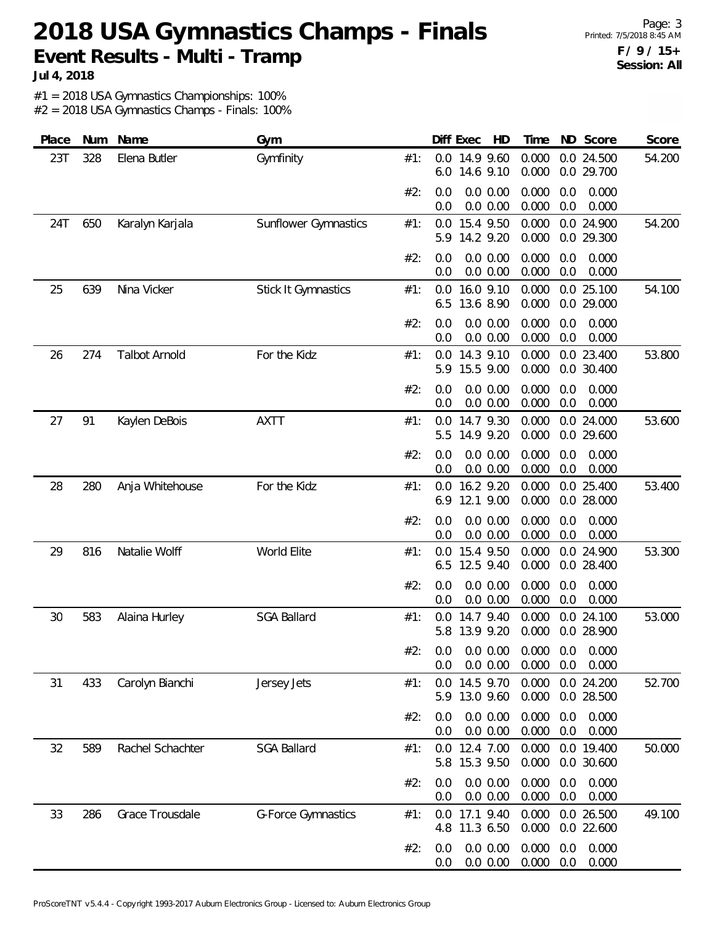Page: 3 Printed: 7/5/2018 8:45 AM **F / 9 / 15+ Session: All**

**Jul 4, 2018**

#1 = 2018 USA Gymnastics Championships: 100%

| Place | Num | Name                 | Gym                         |     | Diff Exec<br>HD                       | ND Score<br>Time                                        | Score  |
|-------|-----|----------------------|-----------------------------|-----|---------------------------------------|---------------------------------------------------------|--------|
| 23T   | 328 | Elena Butler         | Gymfinity                   | #1: | 14.9 9.60<br>0.0<br>14.6 9.10<br>6.0  | 0.000<br>0.0 24.500<br>0.000<br>0.0 29.700              | 54.200 |
|       |     |                      |                             | #2: | 0.0 0.00<br>0.0<br>0.0 0.00<br>0.0    | 0.000<br>0.000<br>0.0<br>0.000<br>0.0<br>0.000          |        |
| 24T   | 650 | Karalyn Karjala      | <b>Sunflower Gymnastics</b> | #1: | 15.4 9.50<br>0.0<br>14.2 9.20<br>5.9  | 0.0 24.900<br>0.000<br>0.000<br>0.0 29.300              | 54.200 |
|       |     |                      |                             | #2: | 0.0 0.00<br>0.0<br>0.0 0.00<br>0.0    | 0.000<br>0.0<br>0.000<br>0.000<br>0.0<br>0.000          |        |
| 25    | 639 | Nina Vicker          | <b>Stick It Gymnastics</b>  | #1: | 16.0 9.10<br>0.0<br>13.6 8.90<br>6.5  | 0.000<br>0.0 25.100<br>0.000<br>0.0 29.000              | 54.100 |
|       |     |                      |                             | #2: | 0.0 0.00<br>0.0<br>0.0 0.00<br>0.0    | 0.000<br>0.000<br>0.0<br>0.000<br>0.0<br>0.000          |        |
| 26    | 274 | <b>Talbot Arnold</b> | For the Kidz                | #1: | 14.3 9.10<br>0.0<br>15.5 9.00<br>5.9  | 0.000<br>0.0 23.400<br>0.000<br>0.0 30.400              | 53.800 |
|       |     |                      |                             | #2: | $0.0\ 0.00$<br>0.0<br>0.0 0.00<br>0.0 | 0.000<br>0.000<br>0.0<br>0.000<br>0.0<br>0.000          |        |
| 27    | 91  | Kaylen DeBois        | <b>AXTT</b>                 | #1: | 14.7 9.30<br>0.0<br>14.9 9.20<br>5.5  | 0.0 24.000<br>0.000<br>0.000<br>0.0 29.600              | 53.600 |
|       |     |                      |                             | #2: | 0.0 0.00<br>0.0<br>0.0 0.00<br>0.0    | 0.000<br>0.0<br>0.000<br>0.000<br>0.0<br>0.000          |        |
| 28    | 280 | Anja Whitehouse      | For the Kidz                | #1: | 16.2 9.20<br>0.0<br>12.1 9.00<br>6.9  | 0.000<br>0.0 25.400<br>0.000<br>0.0 28.000              | 53.400 |
|       |     |                      |                             | #2: | 0.0 0.00<br>0.0<br>0.0 0.00<br>0.0    | 0.000<br>0.0<br>0.000<br>0.000<br>0.0<br>0.000          |        |
| 29    | 816 | Natalie Wolff        | World Elite                 | #1: | 15.4 9.50<br>0.0<br>12.5 9.40<br>6.5  | 0.000<br>0.0 24.900<br>0.000<br>0.0 28.400              | 53.300 |
|       |     |                      |                             | #2: | 0.0 0.00<br>0.0<br>0.0 0.00<br>0.0    | 0.000<br>0.000<br>0.0<br>0.000<br>0.0<br>0.000          |        |
| 30    | 583 | Alaina Hurley        | <b>SGA Ballard</b>          | #1: | 14.7 9.40<br>0.0<br>13.9 9.20<br>5.8  | 0.000<br>0.0 24.100<br>0.000<br>0.0 28.900              | 53.000 |
|       |     |                      |                             | #2∙ | 0.0 0.00<br>0.0                       | $0.0$ 0.0 0.00 0.000 0.0 0.000<br>0.000<br>0.0<br>0.000 |        |
| 31    | 433 | Carolyn Bianchi      | Jersey Jets                 | #1: | 0.0 14.5 9.70<br>13.0 9.60<br>5.9     | 0.0 24.200<br>0.000<br>0.000<br>0.0 28.500              | 52.700 |
|       |     |                      |                             | #2: | 0.0 0.00<br>0.0<br>0.0 0.00<br>0.0    | 0.000<br>0.000<br>0.0<br>0.000<br>0.0<br>0.000          |        |
| 32    | 589 | Rachel Schachter     | <b>SGA Ballard</b>          | #1: | 0.0 12.4 7.00<br>5.8 15.3 9.50        | 0.000<br>0.0 19.400<br>0.000<br>0.0 30.600              | 50.000 |
|       |     |                      |                             | #2: | 0.0 0.00<br>0.0<br>0.0 0.00<br>0.0    | 0.000<br>0.0<br>0.000<br>0.000<br>0.000<br>0.0          |        |
| 33    | 286 | Grace Trousdale      | <b>G-Force Gymnastics</b>   | #1: | 17.1 9.40<br>0.0<br>11.3 6.50<br>4.8  | 0.000<br>0.0 26.500<br>0.000<br>0.0 22.600              | 49.100 |
|       |     |                      |                             | #2: | 0.0 0.00<br>0.0<br>0.0 0.00<br>0.0    | 0.000<br>0.000<br>0.0<br>0.000<br>0.0<br>0.000          |        |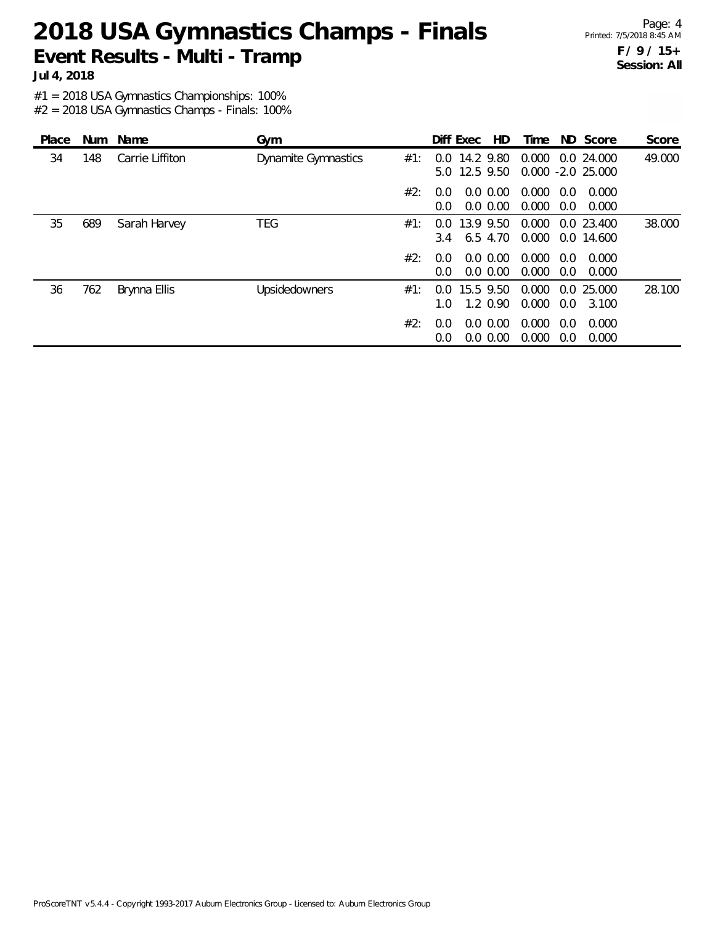Page: 4 Printed: 7/5/2018 8:45 AM **F / 9 / 15+ Session: All**

**Jul 4, 2018**

#1 = 2018 USA Gymnastics Championships: 100%

| Place | <b>Num</b> | Name            | Gym                        |     | Diff Exec                      | HD.                        | Time           |                      | ND Score                          | Score  |
|-------|------------|-----------------|----------------------------|-----|--------------------------------|----------------------------|----------------|----------------------|-----------------------------------|--------|
| 34    | 148        | Carrie Liffiton | <b>Dynamite Gymnastics</b> | #1: | 0.0<br>5.0                     | 14.2 9.80<br>12.5 9.50     | 0.000          |                      | 0.024.000<br>$0.000 - 2.0 25.000$ | 49.000 |
|       |            |                 |                            | #2: | $0.0^{\circ}$<br>$0.0^{\circ}$ | $0.0\,0.00$<br>$0.0\,0.00$ | 0.000<br>0.000 | 0.0<br>$0.0^{\circ}$ | 0.000<br>0.000                    |        |
| 35    | 689        | Sarah Harvey    | <b>TEG</b>                 | #1: | 0.0<br>$3.4^{\circ}$           | 13.9 9.50<br>6.5 4.70      | 0.000<br>0.000 |                      | 0.0 23.400<br>0.0 14.600          | 38.000 |
|       |            |                 |                            | #2: | 0.0<br>$0.0^{\circ}$           | $0.0\,0.00$<br>$0.0\,0.00$ | 0.000<br>0.000 | 0.0<br>0.0           | 0.000<br>0.000                    |        |
| 36    | 762        | Brynna Ellis    | Upsidedowners              | #1: | 0.0<br>1.0.                    | 15.5 9.50<br>$1.2 \, 0.90$ | 0.000<br>0.000 | 0.0                  | 0.0 25.000<br>3.100               | 28.100 |
|       |            |                 |                            | #2: | 0.0<br>0.0                     | $0.0\,0.00$<br>0.0 0.00    | 0.000<br>0.000 | 0.0<br>0.0           | 0.000<br>0.000                    |        |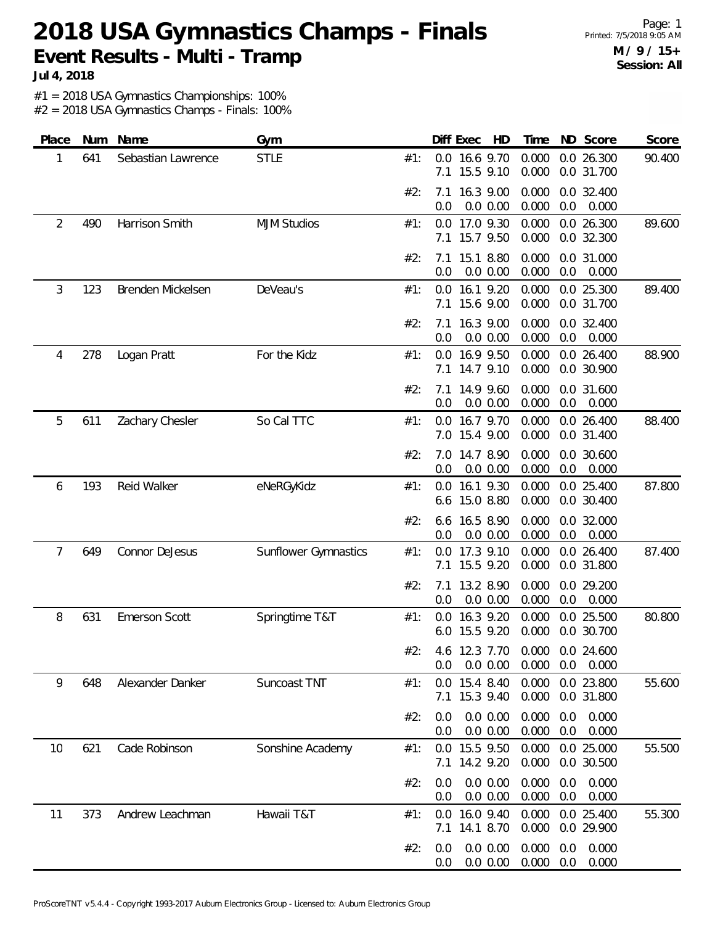Page: 1 Printed: 7/5/2018 9:05 AM **M / 9 / 15+ Session: All**

**Jul 4, 2018**

#1 = 2018 USA Gymnastics Championships: 100%

| Place | Num | Name                 | Gym                         |     | Diff Exec<br>HD                                   | Time           | ND Score                     | Score  |
|-------|-----|----------------------|-----------------------------|-----|---------------------------------------------------|----------------|------------------------------|--------|
| 1     | 641 | Sebastian Lawrence   | <b>STLE</b>                 | #1: | 16.6 9.70<br>0.0<br>15.5 9.10<br>7.1              | 0.000<br>0.000 | 0.0 26.300<br>0.0 31.700     | 90.400 |
|       |     |                      |                             | #2: | 16.3 9.00<br>7.1<br>0.0 0.00<br>0.0               | 0.000<br>0.000 | 0.0 32.400<br>0.0<br>0.000   |        |
| 2     | 490 | Harrison Smith       | <b>MJM Studios</b>          | #1: | 17.0 9.30<br>0.0<br>15.7 9.50<br>7.1              | 0.000<br>0.000 | 0.0 26.300<br>0.0 32.300     | 89.600 |
|       |     |                      |                             | #2: | 15.1 8.80<br>7.1<br>0.0<br>0.0 0.00               | 0.000<br>0.000 | 0.0 31.000<br>0.0<br>0.000   |        |
| 3     | 123 | Brenden Mickelsen    | DeVeau's                    | #1: | 0.0 16.1 9.20<br>15.6 9.00<br>7.1                 | 0.000<br>0.000 | 0.0 25.300<br>0.0 31.700     | 89.400 |
|       |     |                      |                             | #2: | 16.3 9.00<br>7.1<br>0.0<br>0.0 0.00               | 0.000<br>0.000 | 0.0 32.400<br>0.0<br>0.000   |        |
| 4     | 278 | Logan Pratt          | For the Kidz                | #1: | 16.9 9.50<br>0.0<br>14.7 9.10<br>7.1              | 0.000<br>0.000 | 0.0 26.400<br>0.0 30.900     | 88.900 |
|       |     |                      |                             | #2: | 14.9 9.60<br>7.1<br>0.0 0.00<br>0.0               | 0.000<br>0.000 | 0.0 31.600<br>0.0<br>0.000   |        |
| 5     | 611 | Zachary Chesler      | So Cal TTC                  | #1: | 16.7 9.70<br>0.0<br>15.4 9.00<br>7.0              | 0.000<br>0.000 | 0.0 26.400<br>0.0 31.400     | 88.400 |
|       |     |                      |                             | #2: | 14.7 8.90<br>7.0<br>0.0<br>0.0 0.00               | 0.000<br>0.000 | 0.0 30.600<br>0.0<br>0.000   |        |
| 6     | 193 | Reid Walker          | eNeRGyKidz                  | #1: | 16.1 9.30<br>0.0<br>15.0 8.80<br>6.6              | 0.000<br>0.000 | 0.0 25.400<br>0.0 30.400     | 87.800 |
|       |     |                      |                             | #2: | 16.5 8.90<br>6.6<br>0.0<br>0.0 0.00               | 0.000<br>0.000 | 0.0 32.000<br>0.0<br>0.000   |        |
| 7     | 649 | Connor DeJesus       | <b>Sunflower Gymnastics</b> | #1: | 17.3 9.10<br>0.0<br>15.5 9.20<br>7.1              | 0.000<br>0.000 | 0.0 26.400<br>0.0 31.800     | 87.400 |
|       |     |                      |                             | #2: | 13.2 8.90<br>7.1<br>0.0 0.00<br>0.0               | 0.000<br>0.000 | 0.0 29.200<br>0.0<br>0.000   |        |
| 8     | 631 | <b>Emerson Scott</b> | Springtime T&T              | #1: | 16.3 9.20<br>0.0<br>15.5 9.20<br>6.0              | 0.000<br>0.000 | 0.0 25.500<br>0.0 30.700     | 80.800 |
|       |     |                      |                             | #2. | 4.6 12.3 7.70 0.000 0.0 24.600<br>0.0 0.00<br>0.0 |                | $0.000$ $0.0$ $0.000$        |        |
| 9     | 648 | Alexander Danker     | Suncoast TNT                | #1: | 0.0 15.4 8.40<br>7.1 15.3 9.40                    | 0.000<br>0.000 | 0.0 23.800<br>0.0 31.800     | 55.600 |
|       |     |                      |                             | #2: | 0.0 0.00<br>0.0<br>0.0 0.00<br>0.0                | 0.000<br>0.000 | 0.000<br>0.0<br>0.000<br>0.0 |        |
| 10    | 621 | Cade Robinson        | Sonshine Academy            | #1: | 0.0 15.5 9.50<br>7.1 14.2 9.20                    | 0.000<br>0.000 | 0.0 25.000<br>0.0 30.500     | 55.500 |
|       |     |                      |                             | #2: | 0.0 0.00<br>0.0<br>0.0 0.00<br>0.0                | 0.000<br>0.000 | 0.000<br>0.0<br>0.0<br>0.000 |        |
| 11    | 373 | Andrew Leachman      | Hawaii T&T                  | #1: | 0.0 16.0 9.40<br>7.1 14.1 8.70                    | 0.000<br>0.000 | 0.0 25.400<br>0.0 29.900     | 55.300 |
|       |     |                      |                             | #2: | 0.0 0.00<br>0.0<br>0.0 0.00<br>0.0                | 0.000<br>0.000 | 0.000<br>0.0<br>0.0<br>0.000 |        |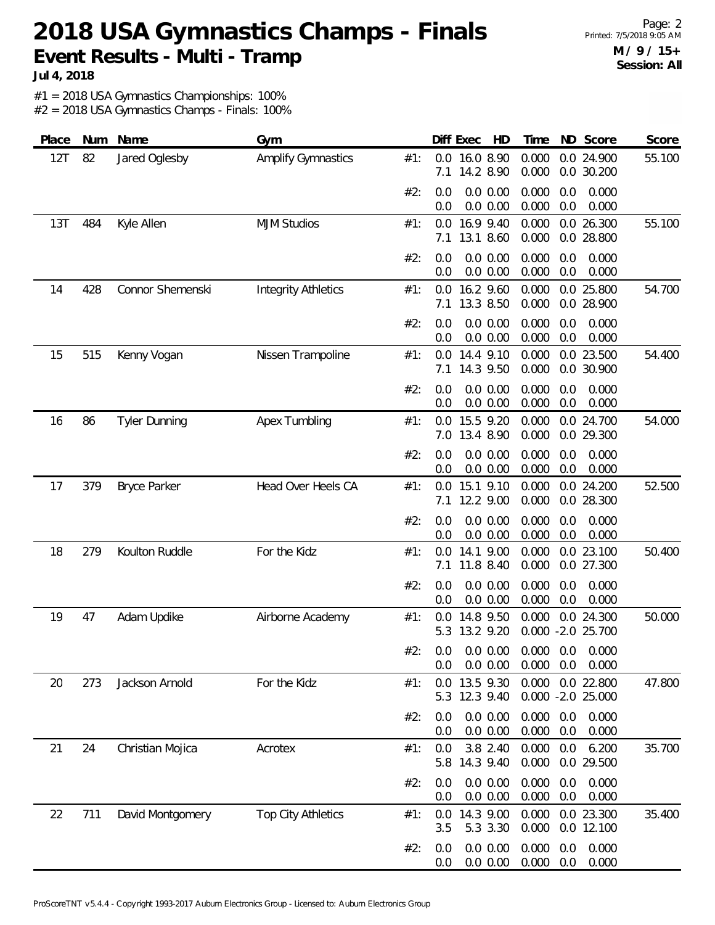Page: 2 Printed: 7/5/2018 9:05 AM **M / 9 / 15+ Session: All**

**Jul 4, 2018**

#1 = 2018 USA Gymnastics Championships: 100%

| Place | Num | Name                 | Gym                        |     |            | Diff Exec<br>HD            | Time           |            | ND Score                        | Score  |
|-------|-----|----------------------|----------------------------|-----|------------|----------------------------|----------------|------------|---------------------------------|--------|
| 12T   | 82  | Jared Oglesby        | <b>Amplify Gymnastics</b>  | #1: | 7.1        | 0.0 16.0 8.90<br>14.2 8.90 | 0.000<br>0.000 |            | 0.0 24.900<br>0.0 30.200        | 55.100 |
|       |     |                      |                            | #2: | 0.0<br>0.0 | 0.0 0.00<br>0.0 0.00       | 0.000<br>0.000 | 0.0<br>0.0 | 0.000<br>0.000                  |        |
| 13T   | 484 | Kyle Allen           | <b>MJM Studios</b>         | #1: | 7.1        | 0.0 16.9 9.40<br>13.1 8.60 | 0.000<br>0.000 |            | 0.0 26.300<br>0.0 28.800        | 55.100 |
|       |     |                      |                            | #2: | 0.0<br>0.0 | 0.0 0.00<br>0.0 0.00       | 0.000<br>0.000 | 0.0<br>0.0 | 0.000<br>0.000                  |        |
| 14    | 428 | Connor Shemenski     | <b>Integrity Athletics</b> | #1: | 0.0<br>7.1 | 16.2 9.60<br>13.3 8.50     | 0.000<br>0.000 | 0.0        | 0.0 25.800<br>28.900            | 54.700 |
|       |     |                      |                            | #2: | 0.0<br>0.0 | 0.0 0.00<br>0.0 0.00       | 0.000<br>0.000 | 0.0<br>0.0 | 0.000<br>0.000                  |        |
| 15    | 515 | Kenny Vogan          | Nissen Trampoline          | #1: | 0.0<br>7.1 | 14.4 9.10<br>14.3 9.50     | 0.000<br>0.000 |            | 0.0 23.500<br>0.0 30.900        | 54.400 |
|       |     |                      |                            | #2: | 0.0<br>0.0 | $0.0\ 0.00$<br>0.0 0.00    | 0.000<br>0.000 | 0.0<br>0.0 | 0.000<br>0.000                  |        |
| 16    | 86  | <b>Tyler Dunning</b> | Apex Tumbling              | #1: | 0.0        | 15.5 9.20<br>7.0 13.4 8.90 | 0.000<br>0.000 |            | 0.0 24.700<br>0.0 29.300        | 54.000 |
|       |     |                      |                            | #2: | 0.0<br>0.0 | 0.0 0.00<br>0.0 0.00       | 0.000<br>0.000 | 0.0<br>0.0 | 0.000<br>0.000                  |        |
| 17    | 379 | <b>Bryce Parker</b>  | Head Over Heels CA         | #1: | 0.0<br>7.1 | 15.1 9.10<br>12.2 9.00     | 0.000<br>0.000 |            | 0.0 24.200<br>0.0 28.300        | 52.500 |
|       |     |                      |                            | #2: | 0.0<br>0.0 | 0.0 0.00<br>0.0 0.00       | 0.000<br>0.000 | 0.0<br>0.0 | 0.000<br>0.000                  |        |
| 18    | 279 | Koulton Ruddle       | For the Kidz               | #1: | 0.0<br>7.1 | 14.1 9.00<br>11.8 8.40     | 0.000<br>0.000 |            | 0.0 23.100<br>0.0 27.300        | 50.400 |
|       |     |                      |                            | #2: | 0.0<br>0.0 | 0.0 0.00<br>0.0 0.00       | 0.000<br>0.000 | 0.0<br>0.0 | 0.000<br>0.000                  |        |
| 19    | 47  | Adam Updike          | Airborne Academy           | #1: | 0.0<br>5.3 | 14.8 9.50<br>13.2 9.20     | 0.000          |            | 0.0 24.300<br>0.000 -2.0 25.700 | 50.000 |
|       |     |                      |                            | #2: | 0.0<br>0.0 | $0.0\,0.00$<br>0.0 0.00    | 0.000          | 0.0        | $0.000$ $0.0$ $0.000$<br>0.000  |        |
| 20    | 273 | Jackson Arnold       | For the Kidz               | #1: | 5.3        | 0.0 13.5 9.30<br>12.3 9.40 | 0.000          |            | 0.0 22.800<br>0.000 -2.0 25.000 | 47.800 |
|       |     |                      |                            | #2: | 0.0<br>0.0 | 0.0 0.00<br>0.0 0.00       | 0.000<br>0.000 | 0.0<br>0.0 | 0.000<br>0.000                  |        |
| 21    | 24  | Christian Mojica     | Acrotex                    | #1: | 0.0<br>5.8 | 3.8 2.40<br>14.3 9.40      | 0.000<br>0.000 | 0.0        | 6.200<br>0.0 29.500             | 35.700 |
|       |     |                      |                            | #2: | 0.0<br>0.0 | 0.0 0.00<br>0.0 0.00       | 0.000<br>0.000 | 0.0<br>0.0 | 0.000<br>0.000                  |        |
| 22    | 711 | David Montgomery     | <b>Top City Athletics</b>  | #1: | 0.0<br>3.5 | 14.3 9.00<br>5.3 3.30      | 0.000<br>0.000 |            | 0.0 23.300<br>0.0 12.100        | 35.400 |
|       |     |                      |                            | #2: | 0.0<br>0.0 | 0.0 0.00<br>0.0 0.00       | 0.000<br>0.000 | 0.0<br>0.0 | 0.000<br>0.000                  |        |